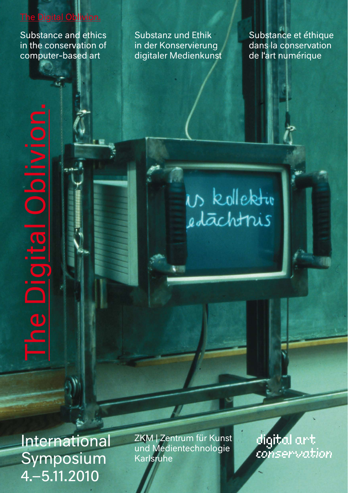# The Digital Oblivion.

Substance and ethics<br>in the conservation of<br>computer-based art<br> $\begin{bmatrix} 1 & 1 \\ 1 & 1 \end{bmatrix}$ <br> $\begin{bmatrix} 1 & 1 \\ 1 & 1 \end{bmatrix}$ in the conservation of computer-based art

Substanz und Ethik in der Konservierung digitaler Medienkunst Substance et éthique dans la conservation de l'art numérique

Us kollektiv edachtris

International Symposium 4.–5.11.2010

he Digital

ZKM | Zentrum für Kunst und Medientechnologie Karlsruhe

digital art conservation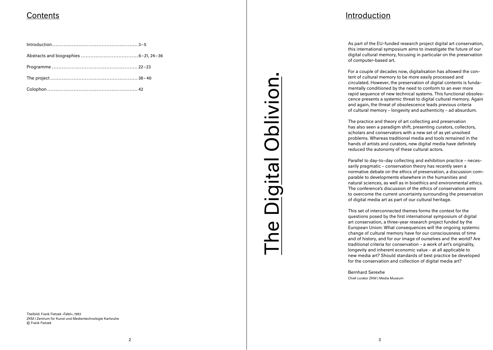Titelbild: Frank Fietzek »Tafel«, 1993 ZKM | Zentrum für Kunst und Medientechnologie Karlsruhe © Frank Fietzek

# The Digital Oblivion. Oblivion iqital  $\Box$

# Contents Introduction

As part of the EU-funded research project digital art conservation. this international symposium aims to investigate the future of our digital cultural memory, focusing in particular on the preservation of computer-based art.

For a couple of decades now, digitalisation has allowed the content of cultural memory to be more easily processed and circulated. However, the preservation of digital contents is fundamentally conditioned by the need to conform to an ever more rapid sequence of new technical systems. This functional obsoles cence presents a systemic threat to digital cultural memory. Again and again, the threat of obsolescence leads previous criteria of cultural memory – longevity and authenticity – ad absurdum.

The practice and theory of art collecting and preservation has also seen a paradigm shift, presenting curators, collectors, scholars and conservators with a new set of as yet unsolved problems. Whereas traditional media and tools remained in the hands of artists and curators, new digital media have definitely reduced the autonomy of these cultural actors.

Parallel to day-to-day collecting and exhibition practice – necessarily pragmatic – conservation theory has recently seen a normative debate on the ethics of preservation, a discussion comparable to developments elsewhere in the humanities and natural sciences, as well as in bioethics and environmental ethics. The conference's discussion of the ethics of conservation aims to overcome the current uncertainty surrounding the preservation of digital media art as part of our cultural heritage.

This set of interconnected themes forms the context for the questions posed by the first international symposium of digital art conservation, a three-year research project funded by the European Union: What consequences will the ongoing systemic change of cultural memory have for our consciousness of time and of history, and for our image of ourselves and the world? Are traditional criteria for conservation – a work of art's originality, longevity and inherent economic value – at all applicable to new media art? Should standards of best practice be developed for the conservation and collection of digital media art?

Bernhard Serexhe Chief curator ZKM | Media Museum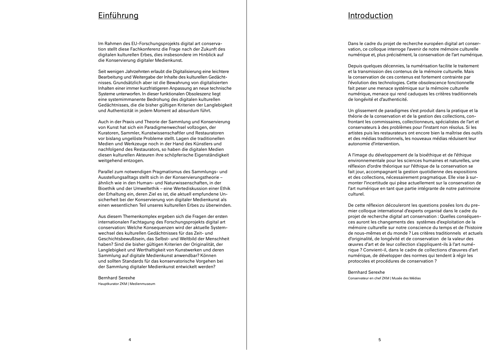## Einführung

Im Rahmen des EU-Forschungsprojekts digital art conservation stellt diese Fachkonferenz die Frage nach der Zukunft des digitalen kulturellen Erbes, dies insbesondere im Hinblick auf die Konservierung digitaler Medienkunst.

Seit wenigen Jahrzehnten erlaubt die Digitalisierung eine leichtere Bearbeitung und Weitergabe der Inhalte des kulturellen Gedächtnisses. Grundsätzlich aber ist die Bewahrung von digitalisierten Inhalten einer immer kurzfristigeren Anpassung an neue technische Systeme unterworfen. In dieser funktionalen Obsoleszenz liegt eine systemimmanente Bedrohung des digitalen kulturellen Gedächtnisses, die die bisher gültigen Kriterien der Langlebigkeit und Authentizität in jedem Moment ad absurdum führt.

Auch in der Praxis und Theorie der Sammlung und Konservierung von Kunst hat sich ein Paradigmenwechsel vollzogen, der Kuratoren, Sammler, Kunstwissenschaftler und Restauratoren vor bislang ungelöste Probleme stellt. Lagen die traditionellen Medien und Werkzeuge noch in der Hand des Künstlers und nachfolgend des Restaurators, so haben die digitalen Medien diesen kulturellen Akteuren ihre schöpferische Eigenständigkeit weitgehend entzogen.

Parallel zum notwendigen Pragmatismus des Sammlungs- und Ausstellungsalltags stellt sich in der Konservierungstheorie – ähnlich wie in den Human- und Naturwissenschaften, in der Bioethik und der Umweltethik – eine Wertediskussion einer Ethik der Erhaltung ein, deren Ziel es ist, die aktuell empfundene Unsicherheit bei der Konservierung von digitaler Medienkunst als einen wesentlichen Teil unseres kulturellen Erbes zu überwinden.

Aus diesem Themenkomplex ergeben sich die Fragen der ersten internationalen Fachtagung des Forschungsprojekts digital art conservation: Welche Konsequenzen wird der aktuelle Systemwechsel des kulturellen Gedächtnisses für das Zeit- und Geschichtsbewußtsein, das Selbst- und Weltbild der Menschheit haben? Sind die bisher gültigen Kriterien der Originalität, der Langlebigkeit und Werthaltigkeit von Kunstwerken und deren Sammlung auf digitale Medienkunst anwendbar? Können und sollten Standards für das konservatorische Vorgehen bei der Sammlung digitaler Medienkunst entwickelt werden?

Bernhard Serexhe Hauptkurator ZKM | Medienmuseum

## Introduction

Dans le cadre du projet de recherche européen digital art conservation, ce colloque interroge l'avenir de notre mémoire culturelle numérique et, plus précisément, la conservation de l'art numérique.

Depuis quelques décennies, la numérisation facilite le traitement et la transmission des contenus de la mémoire culturelle. Mais la conservation de ces contenus est fortement contrainte par l'évolution des technologies. Cette obsolescence fonctionnelle fait peser une menace systémique sur la mémoire culturelle numérique, menace qui rend caduques les critères traditionnels de longévité et d'authenticité.

Un glissement de paradigmes s'est produit dans la pratique et la théorie de la conservation et de la gestion des collections, confrontant les commissaires, collectionneurs, spécialistes de l'art et conservateurs à des problèmes pour l'instant non résolus. Si les artistes puis les restaurateurs ont encore bien la maîtrise des outils et des médias traditionnels, les nouveaux médias réduisent leur autonomie d'intervention.

A l'image du développement de la bioéthique et de l'éthique environnementale pour les sciences humaines et naturelles, une réflexion d'ordre théorique sur l'éthique de la conservation se fait jour, accompagnant la gestion quotidienne des expositions et des collections, nécessairement pragmatique. Elle vise à surmonter l'incertitude qui pèse actuellement sur la conservation de l'art numérique en tant que partie intégrante de notre patrimoine culturel.

De cette réflexion découleront les questions posées lors du premier colloque international d'experts organisé dans le cadre du projet de recherche digital art conservation : Quelles conséquences auront les changements des systèmes d'exploitation de la mémoire culturelle sur notre conscience du temps et de l'histoire de nous-mêmes et du monde ? Les critères traditionnels et actuels d'originalité, de longévité et de conservation de la valeur des œuvres d'art et de leur collection s'appliquent-ils à l'art numérique ? Convient-il, dans le cadre de collections d'œuvres d'art numérique, de développer des normes qui tendent à régir les protocoles et procédures de conservation ?

Bernhard Serexhe Conservateur en chef ZKM | Musée des Médias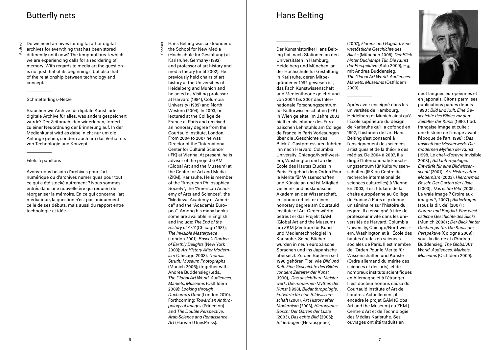# Butterfly nets

**Abstra** 

Do we need archives for digital art or digital archives for everything that has been stored differently until now? The temporal break which we are experiencing calls for a reordering of memory. With regards to media art the question is not just that of its beginnings, but also that of the relationship between technology and concept.

## Schmetterlings-Netze

Brauchen wir Archive für digitale Kunst oder digitale Archive für alles, was anders gespeichert wurde? Der Zeitbruch, den wir erleben, fordert zu einer Neuordnung der Erinnerung auf. In der Medienkunst wird es dabei nicht nur um die Anfänge gehen, sondern auch um das Verhältnis von Technologie und Konzept.

## Filets à papillons

Avons-nous besoin d'archives pour l'art numérique ou d'archives numériques pour tout ce qui a été stocké autrement ? Nous sommes entrés dans une nouvelle ère qui requiert de réorganiser la mémoire. En ce qui concerne l'art médiatique, la question n'est pas uniquement celle de ses débuts, mais aussi du rapport entre technologie et idée.

Hans Belting was co-founder of the School for New Media

Speaker (Hochschule für Gestaltung) at Karlsruhe, Germany (1992) and professor of art history and media theory (until 2002). He previously held chairs of art history at the Universities of Heidelberg and Munich and he acted as Visiting professor at Harvard (1984), Columbia University (1989) and North Western (2004). In 2003, he lectured at the Collège de France at Paris and received an honorary degree from the Courtauld Institute, London. From 2004 to 2007 he was Director of the "International Center for Cultural Science" (IFK) at Vienna. At present, he is advisor of the project GAM (Global Art and the Museum) at the Center for Art and Media (ZKM), Karlsruhe. He is member of the "American Philosophical Society", the "American Academy of Arts and Sciences", the "Medieval Academy of America" and the "Academia Europea". Among his many books some are available in English and include: *The End of the History of Art?* (Chicago 1987); *The Invisible Masterpiece*  (London 2001); *Bosch's Garden of Earthly Delights* (New York 2003); *Art History After Modernism* (Chicago 2003); *Thomas Struth: Museum Photographs*  (Munich 2006); (together with Andrea Buddensieg) .eds., *The Global Art World. Audiences, Markets, Museums* (Ostfildern 2009); *Looking through Duchamp's Door* (London 2010). Forthcoming: *Toward an Anthropology of Images* (Princeton) and *The Double Perspective. Arab Science and Renaissance Art* (Harvard Univ.Press).

Der Kunsthistoriker Hans Belting hat, nach Stationen an den Universitäten in Hamburg, Heidelberg und München, an der Hochschule für Gestaltung in Karlsruhe, deren Mitbegründer er 1992 gewesen ist, das Fach Kunstwissenschaft und Medientheorie gelehrt und von 2004 bis 2007 das Internationale Forschungszentrum für Kulturwissenschaften (IFK) in Wien geleitet. Im Jahre 2003 hielt er als Inhaber des Europäischen Lehrstuhls am College de France in Paris Vorlesungen über die "Geschichte des Blicks". Gastprofessuren führten ihn nach Harvard, Columbia University, Chicago/Northwestern, Washington und an die Ecole des Hautes Etudes in Paris. Er gehört dem Orden Pour le Merite für Wissenschaften und Künste an und ist Mitglied vieler in- und ausländischer Akademien der Wissenschaft. In London erhielt er einen honorary degree am Courtauld Institute of Art. Gegenwärtig betreut er das Projekt GAM (Global Art and the Museum) am ZKM (Zentrum für Kunst und Medientechnologie) in Karlsruhe. Seine Bücher wurden in neun europäische Sprachen und ins Japanische übersetzt. Zu den Büchern seit 1990 gehören Titel wie *Bild und Kult. Eine Geschichte des Bildes vor dem Zeitalter der Kunst*  (1990), *Das unsichtbare Meisterwerk. Die modernen Mythen der Kunst* (1998), *Bildanthropologie. Entwürfe für eine Bildwissenschaft* (2001), *Art History after Modernism* (2003), *Hieronymus Bosch: Der Garten der Lüste* (2003), *Das echte Bild* (2005); *Bilderfragen* (Herausgeber)

Hans Belting

(2007), *Florenz und Bagdad. Eine westöstliche Geschichte des Blicks* (München 2008), *Der Blick hinter Duchamps Tür. Die Kunst der Perspektive* (Köln 2009), Hg, mit Andrea Buddensieg, *The Global Art World. Audiences. Markets. Museums* (Ostfildern 2009).

Après avoir enseigné dans les universités de Hambourg, Heidelberg et Munich ainsi qu'à l'École supérieure du design de Karlsruhe qu'il a cofondé en 1992, l'historien de l'art Hans Belting s'est consacré à l'enseignement des sciences artistiques et de la théorie des médias. De 2004 à 2007, il a dirigé l'Internationale Forschungszentrum für Kulturwissenschaften (IFK ou Centre de recherche international de sciences culturelles) à Vienne. En 2003, il est titulaire de la chaire européenne au Collège de France à Paris et y donne un séminaire sur l'histoire du regard. Il a enseigné à titre de professeur invité dans les universités de Harvard, Columbia University, Chicago/Northwestern, Washington et à l'École des hautes études en sciences sociales de Paris. Il est membre de l'Orden Pour le Merite für Wissenschaften und Künste (Ordre allemand du mérite des sciences et des arts), et de nombreux instituts scientifiques en Allemagne et à l'étranger. Il est docteur honoris causa du Courtauld Institute of Art de Londres. Actuellement, il encadre le projet GAM (Global Art and the Museum) au ZKM | Centre d'Art et de Technologie des Médias Karlsruhe. Ses ouvrages ont été traduits en



neuf langues européennes et en japonais. Citons parmi ses publications parues depuis 1990 : *Bild und Kult. Eine Geschichte des Bildes vor dem Zeitalter der Kunst* (1990, trad. française Image et culte : une histoire de l'image avant l'époque de l'art, 1998) ; *Das unsichtbare Meisterwerk. Die modernen Mythen der Kunst* (1998, Le chef-d'œuvre invisible, 2003) ; *Bildanthropologie. Entwürfe für eine Bildwissenschaft* (2001) ; *Art History after Modernism* (2003), *Hieronymus Bosch: Der Garten der Lüste* (2003) ; *Das echte Bild* (2005, La vraie image ? Croire aux images ?, 2007) ; *Bilderfragen* (sous la dir. de) (2007) ; *Florenz und Bagdad. Eine westöstliche Geschichte des Blicks* (Munich 2008) ; *Der Blick hinter Duchamps Tür. Die Kunst der Perspektive* (Cologne 2009) ; sous la dir. de et d'Andrea Buddensieg, *The Global Art World. Audiences. Markets. Museums* (Ostfildern 2009).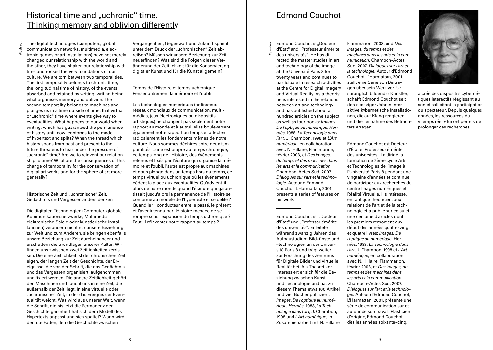# Historical time and "uchronic" time. Thinking memory and oblivion differently

Abstract

The digital technologies (computers, global communication networks, multimedia, electronic games or art installations) have not merely changed our relationship with the world and the other, they have shaken our relationship with time and rocked the very foundations of our culture. We are torn between two temporalities. The first temporality belongs to chronic time, the longitudinal time of history, of the events absorbed and retained by writing, writing being what organises memory and oblivion. The second temporality belongs to machines and plunges us in a time outside of time, that virtual or "uchronic" time where events give way to eventualities. What happens to our world when writing, which has guaranteed the permanence of history until now, conforms to the model of hypertext and splits? When the thread which history spans from past and present to the future threatens to tear under the pressure of "uchronic" time? Are we to reinvent our relationship to time? What are the consequences of this change of temporality for the conservation of digital art works and for the sphere of art more generally?

Historische Zeit und "uchronische" Zeit. Gedächtnis und Vergessen anders denken

Die digitalen Technologien (Computer, globale Kommunikationsnetzwerke, Multimedia, elektronische Spiele oder künstlerische Installationen) verändern nicht nur unsere Beziehung zur Welt und zum Anderen, sie bringen ebenfalls unsere Beziehung zur Zeit durcheinander und erschüttern die Grundlagen unserer Kultur. Wir finden uns zwischen zwei Zeitlichkeiten zerrissen. Die eine Zeitlichkeit ist der chronischen Zeit eigen, der langen Zeit der Geschichte, der Ereignisse, die von der Schrift, die das Gedächtnis und das Vergessen organisiert, aufgenommen und fixiert werden. Die andere Zeitlichkeit gehört den Maschinen und taucht uns in eine Zeit, die außerhalb der Zeit liegt, in eine virtuelle oder "uchronische" Zeit, in der das Ereignis der Eventualität weicht. Was wird aus unserer Welt, wenn die Schrift, die bis jetzt die Permanenz der Geschichte garantiert hat sich dem Modell des Hypertexts anpasst und sich spaltet? Wann wird der rote Faden, den die Geschichte zwischen

Vergangenheit, Gegenwart und Zukunft spannt, unter dem Druck der "uchronischen" Zeit abreißen? Müssen wir unsere Beziehung zur Zeit neuerfinden? Was sind die Folgen dieser Veränderung der Zeitlichkeit für die Konservierung digitaler Kunst und für die Kunst allgemein?

Temps de l'Histoire et temps uchronique. Penser autrement la mémoire et l'oubli

Les technologies numériques (ordinateurs, réseaux mondiaux de communication, multimédias, jeux électroniques ou dispositifs artistiques) ne changent pas seulement notre rapport au monde et à autrui, elles bouleversent également notre rapport au temps et affectent radicalement les fondements mêmes de notre culture. Nous sommes déchirés entre deux temporalités. L'une est propre au temps chronique, ce temps long de l'Histoire, des événements retenus et fixés par l'écriture qui organise la mémoire et l'oubli, l'autre est propre aux machines et nous plonge dans un temps hors du temps, ce temps virtuel ou uchronique où les événements cèdent la place aux éventualités. Qu'advient-il alors de notre monde quand l'écriture qui garantissait jusqu'alors la permanence de l'Histoire se conforme au modèle de l'hypertexte et se délite ? Quand le fil conducteur entre le passé, le présent et l'avenir tendu par l'Histoire menace de se rompre sous l'expansion du temps uchronique ? Faut-il réinventer notre rapport au temps ?

# Edmond Couchot

Edmond Couchot is "Docteur d'État" and "Professeur émérite

Speaker

des universités". He has directed the master studies in art and technology of the image at the Université Paris 8 for twenty years and continues to participate in research activities at the Centre for Digital Imagery and Virtual Reality. As a theorist he is interested in the relations between art and technology and has published about a hundred articles on the subject as well as four books: *Images. De l'optique au numérique, Hermès*, 1988, *La Technologie dans l'art*, J. Chambon, 1998 et *L'Art numérique*, en collaboration avec N. Hillaire, Flammarion, février 2003, et *Des images, du temps et des machines dans les arts et la communication*, Chambon-Actes Sud, 2007. *Dialogues sur l'art et la technologie*. Autour d'Edmond Couchot, L'Harmattan, 2001, presents a series of features on his work.

Edmond Couchot ist "Docteur d'État" und "Professor émérite des universités". Er leitete während zwanzig Jahren das Aufbaustudium Bildkünste und –technologien an der Université Paris 8 und trägt weiter zur Forschung des Zentrums für Digitale Bilder und virtuelle Realität bei. Als Theoretiker interessiert er sich für die Beziehung zwischen Kunst und Technologie und hat zu diesem Thema etwa 100 Artikel und vier Bücher publiziert: *Images. De l'optique au numérique, Hermès,* 1988, *La Technologie dans l'art,* J. Chambon, 1998 und *L'Art numérique*, in Zusammenarbeit mit N. Hillaire, Flammarion, 2003, und *Des images, du temps et des machines dans les arts et la communication*, Chambon-Actes Sud, 2007. *Dialogues sur l'art et la technologie.* Autour d'Edmond Couchot, L'Harmattan, 2001, stellt eine Serie von Beiträgen über sein Werk vor. Ursprünglich bildender Künstler, schafft Edmond Couchot seit den sechziger Jahren interaktive kybernetische Installationen, die auf Klang reagieren und die Teilnahme des Betrachters erregen.

Edmond Couchot est Docteur d'État et Professeur émérite des universités. Il a dirigé la formation de 2ème cycle Arts et Technologies de l'Image à l'Université Paris 8 pendant une vingtaine d'années et continue de participer aux recherches du centre Images numériques et Réalité Virtuelle. Il s'intéresse, en tant que théoricien, aux relations de l'art et de la technologie et a publié sur ce sujet une centaine d'articles dont les premiers remontent aux début des années quatre-vingt et quatre livres: *Images. De l'optique au numérique*, Hermès, 1988, *La Technologie dans l'art*, J. Chambon, 1998 et *L'Art numérique*, en collaboration avec N. Hillaire, Flammarion, février 2003, et *Des images, du temps et des machines dans les arts et la communication*, Chambon-Actes Sud, 2007. *Dialogues sur l'art et la technologie*. Autour d'Edmond Couchot, L'Harmattan, 2001, présente une série de communication sur et autour de son travail. Plasticien d'origine, Edmond Couchot, dès les années soixante-cinq,



a créé des dispositifs cybernétiques interactifs réagissant au son et sollicitant la participation du spectateur. Depuis quelques années, les ressources du « temps réel » lui ont permis de prolonger ces recherches.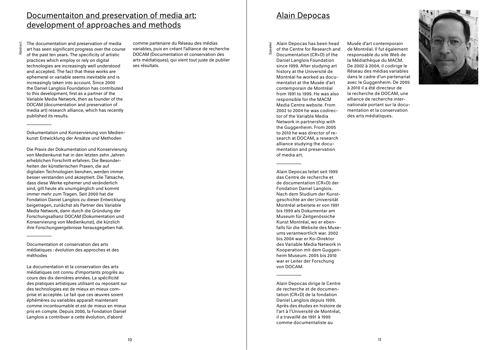# Documentaiton and preservation of media art: development of approaches and methods

Abstract The documentation and preservation of media art has seen significant progress over the course

of the past ten years. The specificity of artistic practices which employ or rely on digital technologies are increasingly well understood and accepted. The fact that these works are ephemeral or variable seems inevitable and is increasingly taken into account. Since 2000 the Daniel Langlois Foundation has contributed to this development, first as a partner of the Variable Media Network, then as founder of the DOCAM (documentation and preservation of media art) research alliance, which has recently published its results.

Dokumentation und Konservierung von Medienkunst: Entwicklung der Ansätze und Methoden

Die Praxis der Dokumentation und Konservierung von Medienkunst hat in den letzten zehn Jahren erheblichen Forschritt erfahren. Die Besonderheiten der künstlerischen Praxen, die auf digitalen Technologien beruhen, werden immer besser verstanden und akzeptiert. Die Tatsache, dass diese Werke ephemer und veränderlich sind, gilt heute als unumgänglich und kommt immer mehr zum Tragen. Seit 2000 hat die Fondation Daniel Langlois zu dieser Entwicklung beigetragen, zunächst als Partner des Variable Media Network, dann durch die Gründung der Forschungsallianz DOCAM (Dokumentation und Konservierung von Medienkunst), die kürzlich ihre Forschungsergebnisse herausgegeben hat.

Documentation et conservation des arts médiatiques : évolution des approches et des méthodes

La documentation et la conservation des arts médiatiques ont connu d'importants progrès au cours des dix dernières années. La spécificité des pratiques artistiques utilisant ou reposant sur des technologies est de mieux en mieux comprise et acceptée. Le fait que ces œuvres soient éphémères ou variables apparaît maintenant comme incontournable et est de mieux en mieux pris en compte. Depuis 2000, la Fondation Daniel Langlois a contribuer a cette évolution, d'abord

comme partenaire du Réseau des médias variables, puis en créant l'alliance de recherche DOCAM (Documentation et conservation des arts médiatiques), qui vient tout juste de publier ses résultats.

# Alain Depocas

Alain Depocas has been head of the Centre for Research and

Speaker

Documentation (CR+D) of the Daniel Langlois Foundation since 1999. After studying art history at the Université de Montréal he worked as documentalist at the Musée d'art contemporain de Montréal from 1991 to 1999. He was also responsible for the MACM Media Centre website. From 2002 to 2004 he was codirector of the Variable Media Network in partnership with the Guggenheim. From 2005 to 2010 he was director of research at DOCAM, a research alliance studying the documentation and preservation of media art.

Alain Depocas leitet seit 1999 das Centre de recherche et de documentation (CR+D) der Fondation Daniel Langlois. Nach dem Studium der Kunstgeschichte an der Universität Montréal arbeitete er von 1991 bis 1999 als Dokumentar am Museum für Zeitgenössiche Kunst Montréal, wo er ebenfalls für die Website des Museums verantwortlich war. 2002 bis 2004 war er Ko-Direktor des Variable Media Network in Kooperation mit dem Guggenheim Museum. 2005 bis 2010 war er Leiter der Forschung von DOCAM.

Alain Depocas dirige le Centre de recherche et de documentation (CR+D) de la fondation Daniel Langlois depuis 1999. Après des études en histoire de l'art à l'Université de Montréal, il a travaillé de 1991 à 1999 comme documentaliste au

Musée d'art contemporain de Montréal. Il fut également responsable du site Web de la Médiathèque du MACM. De 2002 à 2004, il codirige le Réseau des médias variables dans le cadre d'un partenariat avec le Guggenheim. De 2005 à 2010 il a été directeur de la recherche de DOCAM, une alliance de recherche internationale portant sur la documentation et la conservation des arts médiatiques.

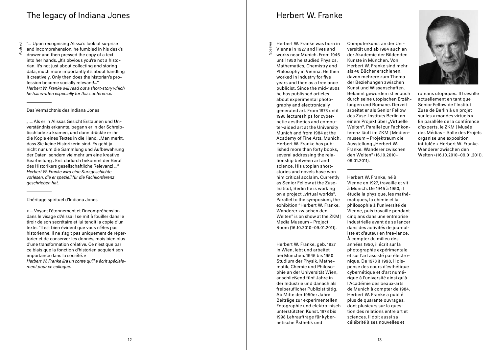# <u>The legacy of Indiana Jones</u>

"... Upon recognising Alissa's look of surprise and incomprehension, he fumbled in his desk's drawer and then pressed the copy of a text into her hands. "It's obvious you're not a historian. It's not just about collecting and storing data, much more importantly it's about handling it creatively. Only then does the historian's pro fession become socially relevant!..." *Herbert W. Franke will read out a short-story which he has written especially for this conference.*

## Das Vermächtnis des Indiana Jones

Abstract

" ... Als er in Alissas Gesicht Erstaunen und Unverständnis erkannte, begann er in der Schreibtischlade zu kramen, und dann drückte er ihr die Kopie eines Textes in die Hand. "Man merkt. dass Sie keine Historikerin sind. Es geht ja nicht nur um die Sammlung und Aufbewahrung der Daten, sondern vielmehr um eine kreative Bearbeitung . Erst dadurch bekommt der Beruf des Historikers gesellschaftliche Relevanz! ..." *Herbert W. Franke wird eine Kurzgeschichte vorlesen, die er speziell für die Fachkonferenz geschrieben hat.*

## L'héritage spirituel d'Indiana Jones

« ... Voyant l'étonnement et l'incompréhension dans le visage d'Alissa il se mit à fouiller dans le tiroir de son secrétaire et lui tendit la copie d'un texte. "Il est bien évident que vous n'êtes pas historienne. Il ne s'agit pas uniquement de réper torier et de conserver les donnés, mais bien plus d'une transformation créative. Ce n'est que par ce biais que la fonction d'historien acquiert son importance dans la société. » *Herbert W. Franke lira un conte qu'il a écrit spécialement pour ce colloque.* 

# Herbert W. Franke

 $\overleftarrow{\mathbf{e}}$ 

Herbert W. Franke was born in Vienna in 1927 and lives and works near Munich. From 1945 until 1950 he studied Physics, Mathematics, Chemistry and Philosophy in Vienna. He then worked in industry for five years and then as a freelance publicist. Since the mid-1950s he has published articles about experimental photography and electronically generated art. From 1973 until 1998 lectureships for cybernetic aesthetics and compu ter-aided art at the University Munich and from 1984 at the Academy of Fine Arts, Munich. Herbert W. Franke has pub lished more than forty books, several addressing the relationship between art and science. His utopian shortstories and novels have won him critical acclaim. Currently as Senior Fellow at the Zuse-Institut, Berlin he is working on a project "virtual worlds". Parallel to the symposium, the exhibition "Herbert W. Franke. Wanderer zwischen den Welten" is on show at the ZKM I Media Museum – Project Room (16.10.2010–09.01.2011).

Herbert W. Franke, geb. 1927 in Wien, lebt und arbeitet bei München. 1945 bis 1950 Studium der Physik, Mathematik, Chemie und Philosophie an der Universität Wien, anschließend fünf Jahre in der Industrie und danach als freiberuflicher Publizist tätig. Ab Mitte der 1950er Jahre Beiträge zur experimentellen Fotographie und elektro-nisch unterstützten Kunst. 1973 bis 1998 Lehraufträge für kyber netische Ästhetik und

Computerkunst an der Uni versität und ab 1984 auch an der Akademie der Bildenden Künste in München. Von Herbert W. Franke sind mehr als 40 Bücher erschienen, davon mehrere zum Thema der Beziehungen zwischen Kunst und Wissenschaften. Bekannt geworden ist er auch durch seine utopischen Erzählungen und Romane. Derzeit arbeitet er als Senior Fellow des Zuse-Instituts Berlin an einem Projekt über "Virtuelle Welten". Parallel zur Fachkon ferenz läuft im ZKM | Medienmuseum – Projektraum die Ausstellung "Herbert W. Franke. Wanderer zwischen den Welten" (16.10.2010– 09.01.2011).

Herbert W. Franke, né à Vienne en 1927, travaille et vit à Munich. De 1945 à 1950, il étudie la physique, les mathé matiques, la chimie et la philosophie à l'université de Vienne, puis travaille pendant cinq ans dans une entreprise industrielle avant de se lancer dans des activités de journal iste et d'auteur en free-lance. À compter du milieu des années 1950, il écrit sur la photographie expérimentale et sur l'art assisté par électro nique. De 1973 à 1998, il dis pense des cours d'esthétique cybernétique et d'art numérique à l'université ainsi qu'à l'Académie des beaux-arts de Munich à compter de 1984. Herbert W. Franke a publié plus de quarante ouvrages, dont plusieurs sur la question des relations entre art et sciences. Il doit aussi sa célébrité à ses nouvelles et



romans utopiques. Il travaille actuellement en tant que Senior Fellow de l'Institut Zuse de Berlin à un projet sur les « mondes virtuels ». En parallèle de la conférence d'experts, le ZKM | Musée des Médias – Salle des Projets organise une exposition intitulée « Herbert W. Franke. Wanderer zwischen den Welten »(16.10.2010–09.01.2011).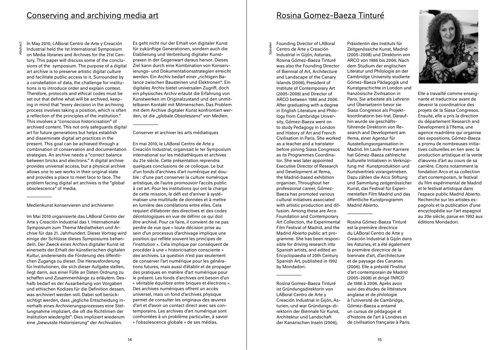# Conserving and archiving media art

Abstra

In May 2010, LABoral Centro de Arte y Creación Industrial held the 1st International Symposium on Media libraries and Archives for the 21st Cen-

tury. This paper will discuss some of the conclusions of the symposium. The purpose of a digital art archive is to preserve artistic digital culture and facilitate public access to it. Surrounded by a constellation of data, the challenge for institutions is to introduce order and explain context. Therefore, protocols and ethical codes must be set out that define what will be archived, keeping in mind that "every decision in the archiving process involves taking a position, which is often a reflection of the principles of the institution." This involves a "conscious historicisation" of archived content. This not only safeguards digital art for future generations but helps establish and disseminate digital art practices in the present. This goal can be achieved through a combination of conservation and documentation strategies. An archive needs a "correct balance between bricks and electrons." A digital archive provides universal access, but a physical archive allows one to see works in their original state and provides a place to meet face to face. The problem facing digital art archives is the "global obsolescence" of media.

Medienkunst konservieren und archivieren

Im Mai 2010 organisierte das LABoral Centro der Arte y Creación Industrial das 1. Internationale Symposium zum Thema Mediatheken und Archive für das 21. Jahrhundert. Dieser Vortrag wird einige der Schlüsse dieses Symposiums behandeln. Der Zweck eines Archivs digitaler Kunst ist einerseits der Erhalt der künstlerischen digitalen Kultur, andererseits die Förderung des öffentlichen Zugangs zu dieser. Die Herausforderung für Institutionen, die sich dieser Aufgabe stellen, liegt darin, aus einer Fülle an Daten Ordnung zu schaffen und Zusammenhänge zu erläutern. Deshalb bedarf es der Ausarbeitung von Vorgaben und ethischen Kodizes für die Definition dessen, was archiviert werden soll. Dabei soll berücksichtigt werden, dass "jegliche Entscheidung innerhalb eines Archivierungsprozesses eine Stellungnahme impliziert, die oft die Richtlinien der Institution wiedergibt". Dies impliziert wiederum eine "bewusste Historisierung" der Archivalien.

Es geht nicht nur der Erhalt von digitaler Kunst für zukünftige Generationen, sondern auch die Etablierung und Verbreitung digitaler Kunstpraxen in der Gegenwart daraus hervor. Dieses Ziel kann durch eine Kombination von Konservierungs- und Dokumentationsstrategien erreicht werden. Ein Archiv bedarf einer "richtigen Balance zwischen Bausteinen und Elektronen". Ein digitales Archiv bietet universalen Zugriff, doch ein physisches Archiv erlaubt die Erfahrung von Kunstwerken im Originalzustand und den unmittelbaren Kontakt mit Mitmenschen. Das Problem mit dem Archive digitaler Kunst konfrontiert werden, ist die "globale Obsoleszenz" von Medien.

## Conserver et archiver les arts médiatiques

En mai 2010, le LABoral Centro de Arte y Creación Industrial, organisait le 1er Symposium international sur les médiathèques et archives du 21e siècle. Cette présentation reprendra quelques conclusions de ce colloque. Le but d'un fonds d'archives d'art numérique est double : d'une part conserver la culture numérique artistique, de l'autre promouvoir l'accès public à cet art. Pour les institutions qui ont la charge de cette mission, le défi est d'arriver à systématiser une multitude de données et à mettre en lumière des corrélations entre elles. Cela requiert d'élaborer des directives et des codes déontologiques en vue de définir ce qui doit être archivé. Pour ce faire, il convient de ne pas perdre de vue que « toute décision prise au sein d'un processus d'archivage implique une position qui reflète souvent les principes de l'institution ». Cela implique par conséquent de procéder à une « historicisation consciente » des archives. La question n'est pas seulement de conserver l'art numérique pour les générations futures, mais aussi d'établir et de propager des pratiques en matière d'art numérique pour le présent. Les fonds d'archives ont besoin d'un « véritable équilibre entre briques et électrons ». Des archives numériques offrent un accès universel, mais un fond d'archives physique permet de consulter les originaux des œuvres d'art et d'avoir un contact direct avec ses contemporains. Les archives d'art numérique sont confrontées à un problème particulier, à savoir « l'obsolescence globale » de ses médias.

# Rosina Gomez-Baeza Tinturé

Founding Director of LABoral Centro de Arte y Creación

Speaker

Industrial in Gijón, Asturias, Rosina Gómez-Baeza Tinturé was also the Founding Director of Biennial of Art, Architecture and Landscape of the Canary Islands (2006), President of Institute of Contemporary Art (2005-2008) and Director of ARCO between 1986 and 2006. After graduating with a degree in English Literature and Philology from Cambridge University, Gómez-Baeza went on to study Pedagogy in London and History of Art and French Civilisation in Paris. She worked as a teacher and a translator before joining Siasa Congresos as its Programmes Coordinator. She was later appointed Executive Director of Research and Development at Ifema, the Madrid-based exhibition organiser. Throughout her professional career, Gómez-Baeza has promoted various cultural initiatives associated with artistic production and diffusion. Among these are Arco Foundation and Contemporary Art Collection, the Experimental Film Festival of Madrid, and the Madrid Abierto public art programme. She has been responsible for driving research into Spanish artists, and edited an Encyclopaedia of 20th Century Spanish Art, published in 1992

Rosina Gomez-Baeza Tinturé ist Gründungsdirektorin von LABoral Centro de Arte y Creación Industrial in Gijón, Asturien, und war Gründungs-direktorin der Biennale für Kunst, Architektur und Landschaft der Kanarischen Inseln (2006),

by Mondadori.

Präsidentin des Instituts für Zeitgenössiche Kunst, Madrid (2005-2008) und Direktorin von ARCO von 1986 bis 2006. Nach dem Studium der englischen Literatur und Philologie an der Cambridge University studierte Gómez-Baeza Pädagogik und Kunstgeschichte in London und französische Zivilisation in Paris. Sie arbeitete als Lehrerin und Übersetzerin bevor sie Siasa Congresos als Projektkoordinatorin bei-trat. Daraufhin wurde sie geschäftsführende Direktorin von Research and Development am Ifema, einer Agentur für Ausstellungsorganisation in Madrid. Im Laufe ihrer Karriere hat Gómez-Baeza zahlreiche kulturelle Initiativen in Verknüpfung mit Kunstproduktion und Kunstvertrieb vorangetrieben. Dazu zählen die Arco Stiftung und Sammlung zeitgenössicher Kunst, das Festival für Experimentellen Film Madrid und das öffentliche Kunstprogramm Madrid Abierto.

Rosina Gómez-Baeza Tinturé est la première directrice du LABoral Centro de Arte y Creación Industrial à Gijón dans les Asturies, et a été également la première directrice de la biennale d'art, d'architecture et de paysage des Canaries (2006). Elle a présidé l'Institut d'art contemporain de Madrid (2005-2008) et dirigé l'ARCO de 1986 à 2006. Après avoir suivi des études de littérature anglaise et de philologie à l'université de Cambridge, Gómez-Baeza a entamé un cursus de pédagogie et d'histoire de l'art à Londres et de civilisation française à Paris.



Elle a travaillé comme enseignante et traductrice avant de devenir la coordinatrice des projets de la Siasa Congresos. Ensuite, elle a pris la direction du département Research and Development à l'Ifema, une agence madrilène qui organise des expositions. Gómez-Baeza a promu de nombreuses initiatives culturelles en lien avec la production artistique et la vente d'œuvres d'art au cours de sa carrière. Citons notamment la fondation Arco et sa collection d'art contemporain, le festival du film expérimental de Madrid et le festival artistique dans l'espace public Madrid Abierto. Recherche sur les artistes espagnols et la publication d'une encyclopédie sur l'art espagnol au 20e siècle, parue en 1992 aux éditions Mondadori.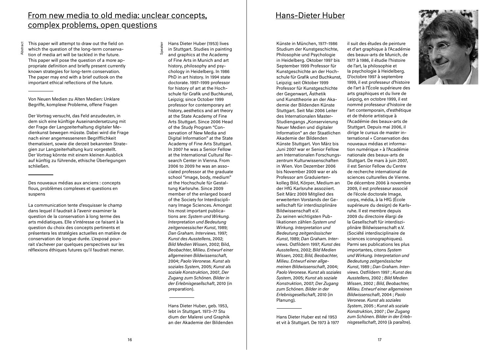# From new media to old media: unclear concepts, complex problems, open questions

This paper will attempt to draw out the field on which the question of the long-term conservation of media art will be tackled in the future. This paper will pose the question of a more appropriate definition and briefly present currently known strategies for long-term conservation. The paper may end with a brief outlook on the important ethical reflections of the future.

Abstract

Von Neuen Medien zu Alten Medien: Unklare Begriffe, komplexe Probleme, offene Fragen

Der Vortrag versucht, das Feld anzudeuten, in dem sich eine künftige Auseinandersetzung mit der Frage der Langzeiterhaltung digitaler Medienkunst bewegen müsste. Dabei wird die Frage nach einer angemesseneren Begrifflichkeit thematisiert, sowie die derzeit bekannten Strategien zur Langzeiterhaltung kurz vorgestellt. Der Vortrag könnte mit einem kleinen Ausblick auf künftig zu führende, ethische Überlegungen schließen.

Des nouveaux médias aux anciens : concepts flous, problèmes complexes et questions en suspens

La communication tente d'esquisser le champ dans lequel il faudrait à l'avenir examiner la question de la conservation à long terme des arts médiatiques. Elle s'intéresse ce faisant à la question du choix des concepts pertinents et présentera les stratégies actuelles en matière de conservation de longue durée. L'exposé pourrait s'achever par quelques perspectives sur les réflexions éthiques futures qu'il faudrait mener.

Hans Dieter Huber (1953) lives in Stuttgart. Studies in painting

 $\overline{a}$ 

and graphics at the Academy of Fine Arts in Munich and art history, philosophy and psychology in Heidelberg. In 1986 PhD in art history. In 1994 state doctorate. 1997–1999 professor for history of art at the Hochschule für Grafik und Buchkunst, Leipzig; since October 1999 professor for contemporary art history, aesthetics and art theory at the State Academy of Fine Arts Stuttgart. Since 2006 Head of the Study Program "Conservation of New Media and Digital Information" at the State Academy of Fine Arts Stuttgart. In 2007 he was a Senior Fellow at the International Cultural Research Center in Vienna. From 2006 to 2009 he was an associated professor at the graduate school "image, body, medium" at the Hochschule für Gestaltung Karlsruhe. Since 2009 member of the enlarged board of the Society for Interdisciplinary Image Sciences. Amongst his most important publications are: *System und Wirkung. Interpretation und Bedeutung zeitgenoessischer Kunst*, 1989; *Dan Graham. Interviews.* 1997; *Kunst des Ausstellens*, 2002; *Bild Medien Wissen*, 2002; Bild, *Beobachter, Milieu. Entwurf einer allgemeinen Bildwissenschaft*, 2004; *Paolo Veronese. Kunst als soziales System*, 2005; *Kunst als soziale Konstruktion*, 2007, *Der Zugang zum Schönen. Bilder in der Erlebnisgesellschaft*, 2010 (in preparation).

Hans Dieter Huber, geb. 1953, lebt in Stuttgart. 1973–77 Stu dium der Malerei und Graphik an der Akademie der Bildenden

# Hans-Dieter Huber

Künste in München, 1977–1986 Studium der Kunstgeschichte. Philosophie und Psychologie in Heidelberg. Oktober 1997 bis September 1999 Professor für Kunstgeschichte an der Hochschule für Grafik und Buchkunst, Leipzig; seit Oktober 1999 Professor für Kunstgeschichte der Gegenwart, Ästhetik und Kunsttheorie an der Akademie der Bildenden Künste Stuttgart. Seit Mai 2006 Leiter des Internationalen Master-Studiengangs "Konservierung Neuer Medien und digitaler Information" an der Staatlichen Akademie der Bildenden Künste Stuttgart. Von März bis Juni 2007 war er Senior Fellow am Internationalen Forschungszentrum Kulturwissenschaften in Wien. Von Dezember 2006 bis November 2009 war er als Professor am Graduiertenkolleg Bild, Körper, Medium an der HfG Karlsruhe assoziiert. Seit März 2009 Mitglied des erweiterten Vorstands der Gesellschaft für interdisziplinäre Bildwissenschaft e.V. Zu seinen wichtigsten Publikationen zählen *System und Wirkung. Interpretation und Bedeutung zeitgenössischer Kunst*, 1989; *Dan Graham. Interviews.* Ostfildern 1997; *Kunst des Ausstellens*, 2002; *Bild Medien Wissen,* 2002; *Bild, Beobachter, Milieu. Entwurf einer allgemeinen Bildwissenschaft*, 2004; *Paolo Veronese. Kunst als soziales System*, 2005; *Kunst als soziale Konstruktion*, 2007; *Der Zugang zum Schönen. Bilder in der Erlebnisgesellschaft*, 2010 (in Planung).

Hans Dieter Huber est né 1953 et vit à Stuttgart. De 1973 à 1977 il suit des études de peinture et d'art graphique à l'Académie des beaux-arts de Munich, de 1977 à 1986, il étudie l'histoire de l'art, la philosophie et la psychologie à Heidelberg. D'octobre 1997 à septembre 1999, il est professeur d'histoire de l'art à l'École supérieure des arts graphiques et du livre de Leipzig, en octobre 1999, il est nommé professeur d'histoire de l'art contemporain, d'esthétique et de théorie artistique à l'Académie des beaux-arts de Stuttgart. Depuis mai 2006, il dirige le cursus de master international « Conservation des nouveaux médias et information numérique » à l'Académie nationale des beaux-arts de Stuttgart. De mars à juin 2007, il est Senior Fellow du Centre de recherche international de sciences culturelles de Vienne. De décembre 2006 à novembre 2009, il est professeur associé de l'école doctorale Image, corps, média, à la HfG (École supérieure du design) de Karlsruhe. Il est membre depuis 2009 du directoire élargi de la Gesellschaft für interdisziplinäre Bildwissenschaft e.V. (Société interdisciplinaire de sciences iconographiques). Parmi ses publications les plus importantes, citons *System und Wirkung. Interpretation und Bedeutung zeitgenössischer Kunst*, 1989 ; *Dan Graham. Interviews.* Ostfildern 1997 ; *Kunst des Ausstellens*, 2002 ; *Bild Medien Wissen*, 2002 ; *Bild, Beobachter, Milieu. Entwurf einer allgemeinen Bildwissenschaft*, 2004 ; *Paolo Veronese. Kunst als soziales System*, 2005 ; *Kunst als soziale Konstruktion*, 2007 ; *Der Zugang zum Schönen. Bilder in der Erleb-*



*nisgesellschaft*, 2010 (à paraître).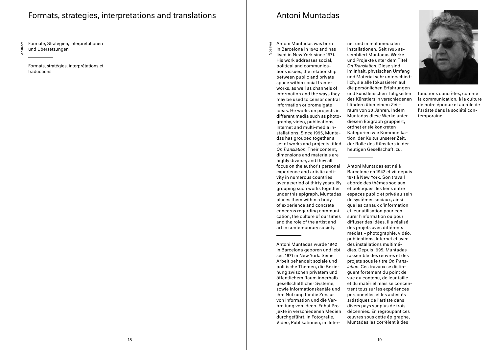# Formats, strategies, interpretations and translations

Formate, Strategien, Interpretationen und Übersetzungen

Abstract

Formats, stratégies, interprétations et traductions

# Antoni Muntadas

Antoni Muntadas was born in Barcelona in 1942 and has

 $\overleftarrow{\mathbf{e}}$ 

lived in New York since 1971. His work addresses social, political and communications issues, the relationship between public and private space within social frameworks, as well as channels of information and the ways they may be used to censor central information or promulgate ideas. He works on projects in different media such as photography, video, publications, Internet and multi-media installations. Since 1995, Muntadas has grouped together a set of works and projects titled *On Translation*. Their content, dimensions and materials are highly diverse, and they all focus on the author's personal experience and artistic activity in numerous countries over a period of thirty years. By grouping such works together under this epigraph, Muntadas places them within a body of experience and concrete concerns regarding communication, the culture of our times and the role of the artist and art in contemporary society.

Antoni Muntadas wurde 1942 in Barcelona geboren und lebt seit 1971 in New York. Seine Arbeit behandelt soziale und politische Themen, die Beziehung zwischen privatem und öffentlichem Raum innerhalb gesellschaftlicher Systeme, sowie Informationskanäle und ihre Nutzung für die Zensur von Information und die Verbreitung von Ideen. Er hat Projekte in verschiedenen Medien durchgeführt, in Fotografie, Video, Publikationen, im Internet und in multimedialen Installationen. Seit 1995 assembliert Muntadas Werke und Projekte unter dem Titel *On Translation*. Diese sind im Inhalt, physischen Umfang und Material sehr unterschiedlich, sie alle fokussieren auf die persönlichen Erfahrungen und künstlerischen Tätigkeiten des Künstlers in verschiedenen Ländern über einem Zeitraum von 30 Jahren. Indem Muntadas diese Werke unter diesem Epigraph gruppiert, ordnet er sie konkreten Kategorien wie Kommunikation, der Kultur unserer Zeit, der Rolle des Künstlers in der heutigen Gesellschaft, zu.

Antoni Muntadas est né à Barcelone en 1942 et vit depuis 1971 à New York. Son travail aborde des thèmes sociaux et politiques, les liens entre espaces public et privé au sein de systèmes sociaux, ainsi que les canaux d'information et leur utilisation pour censurer l'information ou pour diffuser des idées. Il a réalisé des projets avec différents médias – photographie, vidéo, publications, Internet et avec des installations multimédias. Depuis 1995, Muntadas rassemble des œuvres et des projets sous le titre *On Translation*. Ces travaux se distinguent fortement du point de vue du contenu, de leur taille et du matériel mais se concentrent tous sur les expériences personnelles et les activités artistiques de l'artiste dans divers pays sur plus de trois décennies. En regroupant ces œuvres sous cette épigraphe, Muntadas les corrèlent à des



fonctions concrètes, comme la communication, à la culture de notre époque et au rôle de l'artiste dans la société contemporaine.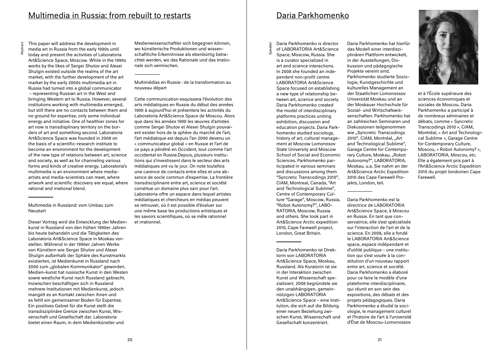Abstra

This paper will address the development in media art in Russia from the early 1990s until today and present the activities of Laboratoria Art&Science Space, Moscow. While in the 1990s works by the likes of Sergei Shutov and Alexei Shulgin existed outside the realms of the art market, with the further development of the art market by the early 2000s multimedia art in Russia had turned into a global communicator – representing Russian art in the West and bringing Western art to Russia. However, several institutions working with multimedia emerged, but still there are no contacts between them and no ground for expertise, only some individual energy and initiative. One of healthier zones for art now is transdisplinary territory on the borders of art and something second. Laboratoria Art&Science Space was founded in 2008 on the basis of a scientific-research institute to become an environment for the development of the new type of relations between art, science and society, as well as for channeling various forms and kinds of creative energy. Laboratoria's multimedia is an environment where mediaartists and media-scientists can meet, where artwork and scientific discovery are equal, where rational and irrational blend.

Multimedia in Russland: vom Umbau zum Neustart

Dieser Vortrag wird die Entwicklung der Medienkunst in Russland von den frühen 1990er Jahren bis heute behandeln und die Tätigkeiten des Laboratoria Art&Science Space in Moskau vorstellen. Während in der 1990er Jahren Werke von Künstlern wie Sergei Shutov und Alexei Shulgin außerhalb der Sphäre des Kunstmarkts existierten, ist Medienkunst in Russland nach 2000 zum "globalen Kommunikator" geworden. Medien-kunst hat russische Kunst in den Westen sowie westliche Kunst nach Russland gebracht. Inzwischen beschäftigen sich in Russland mehrere Institutionen mit Medienkunst, jedoch mangelt es an Kontakt zwischen ihnen und es fehlt ein gemeinsamer Boden für Expertise. Ein positives Gebiet für die Kunst stellt die transdisziplinäre Grenze zwischen Kunst, Wissenschaft und Gesellschaft dar. Laboratoria bietet einen Raum, in dem Medienkünstler und

Medienwissenschaftler sich begegnen können, wo künstlerische Produktionen und wissenschaftliche Erkenntnisse als ebenbürtig betrachtet werden, wo das Rationale und das Irrationale sich vermischen.

## Multimédias en Russie : de la transformation au nouveau départ

Cette communication esquissera l'évolution des arts médiatiques en Russie du début des années 1990 à aujourd'hui et présentera les activités du Laboratoria Art&Science Space de Moscou. Alors que dans les années 1990 les œuvres d'artistes comme Sergei Shutov et Alexei Shulgin pouvaient exister hors de la sphère du marché de l'art, l'art médiatique est depuis l'an 2000 devenu un « communicateur global » en Russie et l'art de ce pays a pénétré en Occident, tout comme l'art occidental en Russie.Depuis, plusieurs institutions qui s'investissent dans le secteur des arts médiatiques ont vu le jour. On note toutefois une carence de contacts entre elles et une absence de socle commun d'expertise. La frontière transdisciplinaire entre art, science et société constitue un domaine plus sain pour l'art. Laboratoria offre un espace dans lequel artistes médiatiques et chercheurs en médias peuvent se retrouver, où il est possible d'évaluer sur une même base les productions artistiques et les savoirs scientifiques, où se mêle rationnel et irrationnel.

Daria Parkhomenko is director of LABORATORIA Art&Science

 $\overleftarrow{\mathbf{e}}$ 

Space, Moscow, Russia. She

is a curator specialized in art and science interactions. In 2008 she founded an independent non-profit centre LABORATORIA Art&Science Space focused on establishing a new type of relationship between art, science and society. Daria Parkhomenko created the model of interdisciplinary platforms practices uniting exhibition, discussion and education projects. Daria Parkhomenko studied sociology, history of art, cultural management at Moscow Lomonosov State University and Moscow School of Social and Economic Sciences. Parkhomenko participated in various seminars and discussions among them "Syncretic Transcodings 2010", CIAM, Montreal, Canada, "Art and Technological Sublime", Centre of Contemporary Culture "Garage", Moscow, Russia, "Robot Autonomy?", LABO-RATORIA, Moscow, Russia and others. She took part in Art&Science Arctic expedition 2010, Cape Farewell project, London, Great Britain.

Daria Parkhomenko ist Direktorin von LABORATORIA Art&Science Space, Moskau, Russland. Als Kuratorin ist sie in der Interaktion zwischen Kunst und Wissenschaft spezialisiert. 2008 begründete sie den unabhängigen, gemeinnützigen LABORATORIA Art&Science Space – eine Institution, die sich auf die Bildung einer neuen Beziehung zwischen Kunst, Wissenschaft und Gesellschaft konzentriert.

Daria Parkhomenko hat hierfür das Modell einer interdisziplinären Plattform entwickelt, in der Ausstellungen, Diskussion und pädagogische Projekte vereint sind. Parkhomenko studierte Soziologie, Kunstgeschichte und kulturelles Management an der Staatlichen Lomonossov Universität Moskau und an der Moskauer Hochschule für Sozial- und Wirtschafswissenschaften. Parkhomenko hat an zahlreichen Seminaren und Diskussionen teilgenommen wie "Syncretic Transcodings 2010", CIAM, Montréal, "Art and Technological Sublime", Garage Centre for Contemporary Culture, Moskau, "Robot Autonomy?", LABORATORIA, Moskau, u.a. Sie nahm an der Art&Science Arctic Expedition 2010 des Cape Farewell Projekts, London, teil.

Daria Parkhomenko est la directrice de LABORATORIA Art&Science Space, à Moscou en Russie. En tant que conservatrice, elle s'est spécialisée sur l'interaction de l'art et de la science. En 2008, elle a fondé le LABORATORIA Art&Science space, espace indépendant et d'utilité publique – une institution qui s'est vouée à la constitution d'un nouveau rapport entre art, science et société. Daria Parkhomenko a élaboré pour ce faire le modèle d'une plateforme interdisciplinaire, qui réunit en son sein des expositions, des débats et des projets pédagogiques. Daria Parkhomenko a étudié la sociologie, le management culturel et l'histoire de l'art à l'université d'État de Moscou-Lomonossov



et à l'École supérieure des sciences économiques et sociales de Moscou. Daria Parkhomenko a participé à de nombreux séminaires et débats, comme « Syncretic Transcodings 2010 », CIAM, Montréal, « Art and Technological Sublime », Garage Centre for Contemporary Culture, Moscou, « Robot Autonomy? », LABORATORIA, Moscou, etc. Elle a également pris part à l'Art&Science Arctic Expedition 2010 du projet londonien Cape Farewell.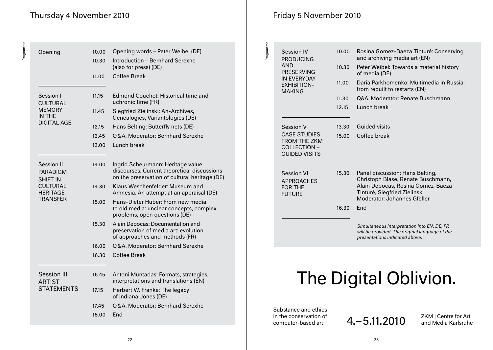# Thursday 4 November 2010

Programme

Programme

| Opening                                                                                                   | 10.00 | Opening words - Peter Weibel (DE)                                                                                                 |
|-----------------------------------------------------------------------------------------------------------|-------|-----------------------------------------------------------------------------------------------------------------------------------|
|                                                                                                           | 10.30 | Introduction - Bernhard Serexhe<br>(also for press) (DE)                                                                          |
|                                                                                                           | 11.00 | <b>Coffee Break</b>                                                                                                               |
| Session I<br><b>CULTURAL</b><br><b>MEMORY</b><br>IN THE<br><b>DIGITAL AGE</b>                             | 11.15 | <b>Edmond Couchot: Historical time and</b><br>uchronic time (FR)                                                                  |
|                                                                                                           | 11.45 | Siegfried Zielinski: An-Archives,<br>Genealogies, Variantologies (DE)                                                             |
|                                                                                                           | 12.15 | Hans Belting: Butterfly nets (DE)                                                                                                 |
|                                                                                                           | 12.45 | Q&A. Moderator: Bernhard Serexhe                                                                                                  |
|                                                                                                           | 13.00 | Lunch break                                                                                                                       |
|                                                                                                           |       |                                                                                                                                   |
| Session II<br><b>PARADIGM</b><br><b>SHIFT IN</b><br><b>CULTURAL</b><br><b>HERITAGE</b><br><b>TRANSFER</b> | 14.00 | Ingrid Scheurmann: Heritage value<br>discourses. Current theoretical discussions<br>on the preservation of cultural heritage (DE) |
|                                                                                                           | 14.30 | Klaus Weschenfelder: Museum and<br>Amnesia. An attempt at an appraisal (DE)                                                       |
|                                                                                                           | 15.00 | Hans-Dieter Huber: From new media<br>to old media: unclear concepts, complex<br>problems, open questions (DE)                     |
|                                                                                                           | 15.30 | Alain Depocas: Documentation and<br>preservation of media art: evolution<br>of approaches and methods (FR)                        |
|                                                                                                           | 16.00 | Q&A. Moderator: Bernhard Serexhe                                                                                                  |
|                                                                                                           | 16.30 | Coffee Break                                                                                                                      |
| <b>Session III</b>                                                                                        | 16.45 | Antoni Muntadas: Formats, strategies,                                                                                             |
| <b>ARTIST</b>                                                                                             |       | interpretations and translations (EN)                                                                                             |
| <b>STATEMENTS</b>                                                                                         | 17.15 | Herbert W. Franke: The legacy<br>of Indiana Jones (DE)                                                                            |
|                                                                                                           | 17.45 | Q&A, Moderator: Bernhard Serexhe                                                                                                  |
|                                                                                                           | 18.00 | End                                                                                                                               |

# Friday 5 November 2010

| Programme             | Session IV<br><b>PRODUCING</b>                                                     | 10.00 | Rosina Gomez-Baeza Tinturé: Conserving<br>and archiving media art (EN)                                                                                                    |  |
|-----------------------|------------------------------------------------------------------------------------|-------|---------------------------------------------------------------------------------------------------------------------------------------------------------------------------|--|
|                       | AND<br><b>PRESERVING</b>                                                           | 10.30 | Peter Weibel: Towards a material history<br>of media (DE)                                                                                                                 |  |
|                       | <b>IN EVERYDAY</b><br><b>EXHIBITION-</b><br><b>MAKING</b>                          | 11.00 | Daria Parkhomenko: Multimedia in Russia:<br>from rebuilt to restarts (EN)                                                                                                 |  |
|                       |                                                                                    | 11.30 | Q&A. Moderator: Renate Buschmann                                                                                                                                          |  |
|                       |                                                                                    | 12.15 | Lunch break                                                                                                                                                               |  |
|                       | Session V                                                                          | 13.30 | <b>Guided visits</b>                                                                                                                                                      |  |
|                       | <b>CASE STUDIES</b><br><b>FROM THE ZKM</b><br>COLLECTION -<br><b>GUIDED VISITS</b> | 15.00 | Coffee break                                                                                                                                                              |  |
|                       | <b>Session VI</b><br><b>APPROACHES</b><br><b>FOR THE</b><br><b>FUTURE</b>          | 15.30 | Panel discussion: Hans Belting,<br>Christoph Blase, Renate Buschmann,<br>Alain Depocas, Rosina Gomez-Baeza<br>TInturé, Siegfried Zielinski<br>Moderator: Johannes Gfeller |  |
|                       |                                                                                    | 16.30 | End                                                                                                                                                                       |  |
|                       |                                                                                    |       | Simultaneous interpretation into EN, DE, FR<br>will be provided. The original language of the<br>presentations indicated above.                                           |  |
| The Digital Oblivion. |                                                                                    |       |                                                                                                                                                                           |  |
|                       |                                                                                    |       |                                                                                                                                                                           |  |
|                       | Substance and ethics                                                               |       |                                                                                                                                                                           |  |

in the conservation of<br>computer-based art

4.–5.11.2010 ZKM | Centre for Art

and Media Karlsruhe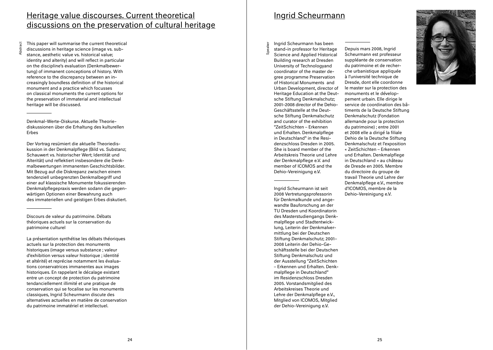# Heritage value discourses. Current theoretical discussions on the preservation of cultural heritage

This paper will summarise the current theoretical discussions in heritage science (image vs. substance, aesthetic value vs. historical value; identity and alterity) and will reflect in particular on the discipline's evaluation (Denkmalbewertung) of immanent conceptions of history. With reference to the discrepancy between an increasingly boundless definition of the historical monument and a practice which focusses on classical monuments the current options for the preservation of immaterial and intellectual heritage will be discussed.

Abstract

Denkmal-Werte-Diskurse. Aktuelle Theoriediskussionen über die Erhaltung des kulturellen Erbes

Der Vortrag resümiert die aktuelle Theoriediskussion in der Denkmalpflege (Bild vs. Substanz; Schauwert vs. historischer Wert; Identität und Alterität) und reflektiert insbesondere die Denkmalbewertungen immanenten Geschichtsbilder. Mit Bezug auf die Diskrepanz zwischen einem tendenziell unbegrenzten Denkmalbegriff und einer auf klassische Monumente fokussierenden Denkmalpflegepraxis werden sodann die gegenwärtigen Optionen einer Bewahrung auch des immateriellen und geistigen Erbes diskutiert.

Discours de valeur du patrimoine. Débats théoriques actuels sur la conservation du patrimoine culturel

La présentation synthétise les débats théoriques actuels sur la protection des monuments historiques (image versus substance ; valeur d'exhibition versus valeur historique ; identité et altérité) et reprécise notamment les évaluations conservatrices immanentes aux images historiques. En rappelant le décalage existant entre un concept de protection du patrimoine tendanciellement illimité et une pratique de conservation qui se focalise sur les monuments classiques, Ingrid Scheurmann discute des alternatives actuelles en matière de conservation du patrimoine immatériel et intellectuel.

# Ingrid Scheurmann

Ingrid Scheurmann has been

Speaker

stand-in professor for Heritage Science and Applied Historical Building research at Dresden University of Technologyand coordinator of the master degree programme Preservation of Historical Monuments and Urban Development, director of Heritage Education at the Deutsche Stiftung Denkmalschutz; 2001–2008 director of the Dehio-Geschäftsstelle at the Deutsche Stiftung Denkmalschutz and curator of the exhibition "ZeitSchichten – Erkennen und Erhalten. Denkmalpflege in Deutschland" in the Residenzschloss Dresden in 2005. She is board member of the Arbeitskreis Theorie und Lehre der Denkmalpflege e.V. and member of ICOMOS and the Dehio-Vereinigung e.V.

Ingrid Scheurmann ist seit 2008 Vertretungsprofessorin für Denkmalkunde und angewandte Bauforschung an der TU Dresden und Koordinatorin des Masterstudiengangs Denkmalpflege und Stadtentwicklung, Leiterin der Denkmalvermittlung bei der Deutschen Stiftung Denkmalschutz; 2001– 2008 Leiterin der Dehio-Geschäftsstelle bei der Deutschen Stiftung Denkmalschutz und der Ausstellung "ZeitSchichten – Erkennen und Erhalten. Denkmalpflege in Deutschland" im Residenzschloss Dresden 2005. Vorstandsmitglied des Arbeitskreises Theorie und Lehre der Denkmalpflege e.V., Mitglied von ICOMOS, Mitglied der Dehio-Vereinigung e.V.

Depuis mars 2008, Ingrid Scheurmann est professeur suppléante de conservation du patrimoine et de recherche urbanistique appliquée à l'université technique de Dresde, dont elle coordonne le master sur la protection des monuments et le développement urbain. Elle dirige le service de coordination des bâtiments de la Deutsche Stiftung Denkmalschutz (Fondation allemande pour la protection du patrimoine) ; entre 2001 et 2008 elle a dirigé la filiale Dehio de la Deutsche Stiftung Denkmalschutz et l'exposition « ZeitSchichten – Erkennen und Erhalten. Denkmalpflege in Deutschland » au château de Dresde en 2005. Membre du directoire du groupe de travail Theorie und Lehre der Denkmalpflege e.V., membre d'ICOMOS, membre de la Dehio-Vereinigung e.V.

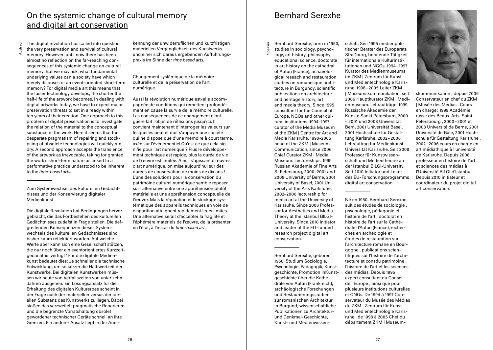# On the systemic change of cultural memory and digital art conservation

Abstra

The digital revolution has called into question the very preservation and survival of cultural memory. However, until now there has been almost no reflection on the far-reaching consequences of this systemic change on cultural memory. But we may ask: what fundamental underlying values can a society have which merely disposes of an event-oriented short-term memory? For digital media art this means that the faster technology develops, the shorter the half-life of the artwork becomes. In dealing with digital artworks today, we have to expect major preservation threats to set in already within ten years of their creation. One approach to this problem of digital preservation is to investigate the relation of the material to the conceptual substance of the work. Here it seems that the desperate pragmatism of repairing and stockpiling of obsolete technologies will quickly run dry. A second approach accepts the transience of the artwork as irrevocable, taking for granted the work's short-term nature as linked to a performative practice understood to be inherent to the *time-based arts.*

Zum Systemwechsel des kulturellen Gedächtnisses und der Konservierung digitaler Medienkunst

Die digitale Revolution hat Bedingungen hervorgebracht, die das Fortbestehen des kulturellen Gedächtnisses zutiefst in Frage stellen. Die tiefgreifenden Konsequenzen dieses Systemwechsels des kulturellen Gedächtnisses sind bisher kaum reflektiert worden. Auf welche Werte aber kann sich eine Gesellschaft stützen, die nur noch über ein eventorientiertes Kurzzeitgedächtnis verfügt? Für die digitale Medienkunst bedeutet dies: Je schneller die technische Entwicklung, um so kürzer die Halbwertzeit der Kunstwerke. Bei digitalen Kunstwerken müssen wir heute von Verfallszeiten von unter zehn Jahren ausgehen. Ein Lösungsansatz für die Erhaltung des digitalen Kulturerbes scheint in der Frage nach der materiellen versus der ideellen Substanz des Kunstwerks zu liegen. Dabei stoßen das verzweifelt pragmatische Reparieren und die begrenzte Vorratshaltung obsolet gewordener technischer Geräte schnell an ihre Grenzen. Ein anderer Ansatz liegt in der Aner-

kennung der unwiderruflichen und kurzfristigen materiellen Vergänglichkeit des Kunstwerks und einer sich daraus ergebenden Aufführungspraxis im Sinne der *time based arts*.

Changement systémique de la mémoire culturelle et de la préservation de l'art numérique.

Aussi la révolution numérique est-elle accompagnée de conditions qui remettent profondément en cause la survie de la mémoire culturelle. Les conséquences de ce changement n'ont guère fait l'objet de réflexions jusqu'ici. Il convient maintenant d'interroger les valeurs sur lesquelles peut et doit s'appuyer une société qui ne dispose que d'une mémoire à court terme, axée sur l'événementiel.Qu'est ce que cela signifie pour l'art numérique ? Plus le développement technique est rapide, plus la durée de vie de l'œuvre est limitée. Ainsi, s'agissant d'œuvres d'art numérique, on mise aujourd'hui sur des durées de conservation de moins de dix ans ! L'une des solutions pour la conservation du patrimoine culturel numérique semble reposer sur l'alternative entre une appréhension plutôt matérielle et une appréhension conceptuelle de l'œuvre. Mais la réparation et le stockage systématique des appareils techniques en voie de disparition atteignent rapidement leurs limites. Une alternative serait d'accepter la fragilité et l'éphémère matériels de l'œuvre, de la présenter en l'état, à l'instar du *time-based art.*

# Bernhard Serexhe

Bernhard Serexhe, born in 1950, studies in sociology, psycho-

Speaker

logy, art history, philosophy, educational science, doctorate in art history on the cathedral of Autun (France), achaeological reseach and restauration studies on romanesque architecture in Burgundy, scientific publications on architecture and heritage history, art and media theory. Since 1995 consultant for the Council of Europe, NGOs and other cultural institutions. 1994–1997 curator of the Media Museum of the ZKM | Centre for Art and Media Karlsruhe, 1998-2005 head of the ZKM | Museum Communication, since 2006 Chief Curator ZKM | Media Museum. Lectureships: 1999 Russian Akademie of Fine Arts St Petersburg, 2000–2001 and 2008 University of Berne, 2001 University of Basel, 2001 University of the Arts Karlsruhe, 2002–2006 lectureship for media art at the University of Karlsruhe. Since 2008 Professor for Aesthetics and Media Theory at the Istanbul BILGI-University. Since 2010 initiator and leader of the EU-funded research project digital art conservation.

Bernhard Serexhe, geboren 1950, Studium Soziologie, Psychologie, Pädagogik, Kunstgeschichte, Promotion inKunstgeschichte über die Kathedrale von Autun (Frankreich), archäologische Forschungen und Restaurierungsstudien zur romanischen Architektur in Burgund, wissenschaftliche Publikationen zu Architekturund Denkmal-Geschichte, Kunst- und Medienwissen-

schaft. Seit 1995 medienpolitischer Berater des Europarats Straßburg, beratende Tätigkeit für internationale Kulturinstitutionen und NGOs. 1994–1997 Kurator des Medienmuseums im ZKM | Zentrum für Kunst und Medientechnologie Karlsruhe, 1998–2005 Leiter ZKM | Museumskommunikation, seit 2006 Hauptkurator ZKM | Medienmuseum. Lehraufträge: 1999 Russische Akademie der Künste Sankt Petersburg, 2000 – 2001 und 2008 Universität Bern, 2001 Universität Basel, 2001 Hochschule für Gestaltung Karlsruhe, 2002–2006 Lehrauftrag für Medienkunst Universität Karlsruhe. Seit 2008 Professor für Kunstwissenschaft und Medientheorie an der Istanbul BILGI-University. Seit 2010 Initiator und Leiter des EU-Forschungsprogramms digital art conservation.

Né en 1950, Bernhard Serexhe suit des études de sociologie , psychologie, pédagogie et histoire de l'art , doctorat en histoire de l'art sur la Cathédrale d'Autun (France), recherches en archéologie et études de restauration sur l'architecture romane en Bourgogne , publications scientifiques sur l'histoire de l'architecture et consdu patrimoine , l'histoire de l'art et les sciences des médias. Depuis 1995 expert consultant du Conseil de l'Europe , ainsi que pour plusieurs institutions culturelles et ONGs. De 1994 à 1997 Conservateur du Musée des Médias du ZKM | Zentrum für Kunst und Medientechnologie Karlsruhe , de 1998 à 2005 Chef du département ZKM | Museum-



skommunikation , depuis 2006 Conservateur en chef du ZKM | Musée des Médias . Cours en charge : 1999 Académie russe des Beaux-Arts, Saint Petersbourg , 2000–2001 et 2008 Université de Berne, 2001 Université de Bâle, 2001 Hochschule für Gestaltung Karlsruhe , 2002–2006 cours en charge en art médiathique à l'université de Karlsruhe. Depuis 2008 professeur en histoire de l'art et sciences des médias à l'Université BILGI d'Istanbul. Depuis 2010 initiateur et coordinateur du projet digital art conservation.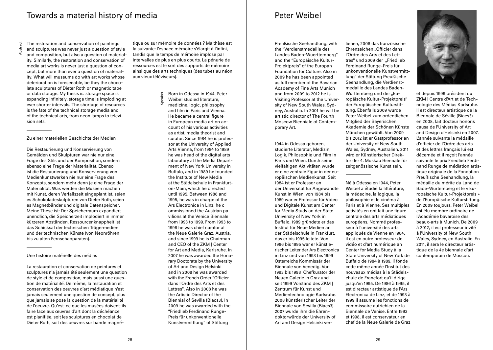# Towards a material history of media

Abstract

The restoration and conservation of paintings and sculptures was never just a question of style and composition, but also a question of materiality. Similarly, the restoration and conservation of media art works is never just a question of concept, but more than ever a question of materiality. What will museums do with art works whose deterioration is foreseeable, be they the chocolate sculptures of Dieter Roth or magnetic tape or data storage. My thesis is: storage space is expanding infinitely, storage time is imploding at ever shorter intervals. The shortage of resources is the fate of the technical storage media and of the technical arts, from neon lamps to television sets.

## Zu einer materiellen Geschichte der Medien

Die Restaurierung und Konservierung von Gemälden und Skulpturen war nie nur eine Frage des Stils und der Komposition, sondern ebenso eine Frage der Materialität. Ebenso ist die Restaurierung und Konservierung von Medienkunstwerken nie nur eine Frage des Konzepts, sondern mehr denn je eine Frage der Materialität. Was werden die Museen machen mit Kunst, deren Verfallszeit eingeplant ist, seien es Schokoladeskulpturen von Dieter Roth, seien es Magnetbänder und digitale Datenspeicher. Meine These ist: Der Speicherraum expandiert unendlich, die Speicherzeit implodiert in immer kürzeren Abständen. Ressourcenknappheit ist das Schicksal der technischen Trägermedien und der technischen Künste (von Neonröhren bis zu alten Fernsehapparaten).

## Une histoire matérielle des médias

La restauration et conservation de peintures et sculptures n'a jamais été seulement une question de style et de composition, mais aussi une question de matérialité. De même, la restauration et conservation des oeuvres d'art médiatique n'est jamais seulement une question de concept, plus que jamais se pose la question de la matérialité de l'oeuvre. Qu'est-ce que les musées doivent-ils faire face aux œuvres d'art dont la déchéance est planifiée, soit les sculptures en chocolat de Dieter Roth, soit des oeuvres sur bande magné-

tique ou sur mémoire de données ? Ma thèse est la suivante: l'espace mémoire s'élargit à l'infini, tandis que le temps de mémoire implose par intervalles de plus en plus courts. La pénurie de ressources est le sort des supports de mémoire ainsi que des arts techniques (des tubes au néon aux vieux téléviseurs).

> Speaker Born in Odessa in 1944, Peter

Weibel studied literature, medicine, logic, philosophy and film in Paris and Vienna. He became a central figure in European media art on account of his various activities as artist, media theorist and curator. Since 1984 he is professor at the University of Applied Arts Vienna, from 1984 to 1989 he was head of the digital arts laboratory at the Media Department of New York University in Buffalo, and in 1989 he founded the Institute of New Media at the Städelschule in Frankfurton-Main, which he directed until 1995. Between 1986 and 1995, he was in charge of the Ars Electronica in Linz, he c ommissioned the Austrian pavilions at the Venice Biennale from 1993 to 1999. From 1993 to 1998 he was chief curator at the Neue Galerie Graz, Austria, and since 1999 he is Chairman and CEO of the ZKM | Center for Art and Media, Karlsruhe. In 2007 he was awarded the Honorary Doctorate by the University of Art and Design Helsinki and in 2008 he was awarded with the French Order "Officier dans l'Ordre des Arts et des Lettres". Also in 2008 he was the Artistic Director of the Biennial of Sevilla (Biacs3). In 2009 he was awarded with the "Friedlieb Ferdinand Runge-Preis für unkonventionelle Kunstvermittlung" of Stiftung

# Peter Weibel

Preußische Seehandlung, with the "Verdienstmedaille des Landes Baden-Wuerttemberg" and the "Europäische Kultur-Projektpreis" of the Europan Foundation for Culture. Also in 2009 he has been appointed as full member of the Bavarian Academy of Fine Arts Munich and from 2009 to 2012 he is Visiting Professor at the University of New South Wales, Sydney, Australia. In 2001 he will be artistic director of The Fourth Moscow Bienniale of Contemporary Art.

1944 in Odessa geboren, studierte Literatur, Medizin, Logik, Philosophie und Film in Paris und Wien. Durch seine vielfältigen Aktivitäten wurde er eine zentrale Figur in der europäischen Medienkunst. Seit 1984 ist er Professor an der Universität für Angewandte Kunst in Wien, von 1984 bis 1989 war er Professor für Video und Digitale Kunst am Center for Media Study an der State University of New York in Buffalo. 1989 gründete er das Institut für Neue Medien an der Städelschule in Frankfurt, das er bis 1995 leitete. Von 1986 bis 1995 war er künstlerischer Leiter der Ars Electronica in Linz und von 1993 bis 1999 Österreichs Kommissär der Biennale von Venedig. Von 1993 bis 1998 Chefkurator der Neuen Galerie in Graz und seit 1999 Vorstand des ZKM | Zentrum für Kunst und Medientechnologie Karlsruhe. 2008 künstlerischer Leiter der Biennale von Sevilla (Biacs3). 2007 wurde ihm die Ehrendoktorwürde der University of Art and Design Helsinki verliehen, 2008 das französische Ehrenzeichen "Officier dans l'Ordre des Arts et des Lettres" und 2009 der "Friedlieb Ferdinand Runge-Preis für unkonventionelle Kunstvermittlung" der Stiftung Preußische Seehandlung, die Verdienstmedaille des Landes Baden-Württemberg und der "Europäische Kultur-Projektpreis" der Europäischen Kulturstiftung. Ebenfalls 2009 wurde Peter Weibel zum ordentlichen Mitglied der Bayerischen Akademie der Schönen Künste München gewählt. Von 2009 bis 2012 ist er Gastprofessor an der University of New South Wales, Sydney, Australien. 2011 wird er Künstlerischer Direktor der 4. Moskau Biennale für zeitgenössische Kunst sein.

Né à Odessa en 1944, Peter Weibel a étudié la littérature, la médecine, la logique, la philosophie et le cinéma à Paris et à Vienne. Ses multiples activités en ont fait une figure centrale des arts médiatiques européens. Nommé professeur à l'université des arts appliqués de Vienne en 1984, il est en outre professeur de vidéo et d'art numérique an Center for Media Study à la State University of New York de Buffalo de 1984 à 1989. Il fonde cette même année l'Institut des nouveaux médias à la Städelschule de Francfort qu'il dirige jusqu'en 1995. De 1986 à 1995, il est directeur artistique de l'Ars Electronica de Linz, et de 1993 à 1999 il assume les fonctions de commissaire autrichien de la Biennale de Venise. Entre 1993 et 1998, il est conservateur en chef de la Neue Galerie de Graz



et depuis 1999 président du ZKM | Centre d'Art et de Technologie des Médias Karlsruhe. Il est directeur artistique de la Biennale de Séville (Biacs3) en 2008, fait docteur honoris causa de l'University of Art and Design d'Helsinki en 2007. L'année suivante la médaille d'officier de l'Ordre des arts et des lettres français lui est décernée et il reçoit l'année suivante le prix Friedlieb Ferdinand Runge de médiation artistique originale de la Fondation Preußische Seehandlung, la médaille du mérite du Land de Bade-Wurtemberg et le « Europäische Kultur-Projektpreis » de l'Europäische Kulturstiftung. En 2009 toujours, Peter Weibel est élu membre ordinaire de l'Académie bavaroise des beaux-arts à Munich. De 2009 à 2012, il est professeur invité à l'University of New South Wales, Sydney, en Australie. En 2011, il sera le directeur artistique de la 4e biennale d'art contemporain de Moscou.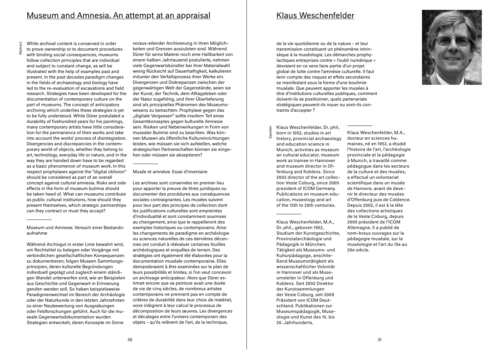Abstra

While archival content is conserved in order

to prove ownership or to document procedures

with binding social consequences, museums follow collection principles that are individual and subject to constant change, as will be illustrated with the help of examples past and present. In the past decades paradigm changes in the fields of archaeology and biology have led to the re-evaluation of excavations and field research. Strategies have been developed for the documentation of contemporary culture on the part of museums. The concept of anticipatory archiving which underlies these strategies is yet to be fully understood. While Dürer postulated a durability of fivehundred years for his paintings, many contemporary artists have little consideration for the permanence of their works and take into account the works' process of disintegration. Divergencies and discrepancies in the contemporary world of objects, whether they belong to art, technology, everyday life or nature, and in the way they are handed down have to be regarded as a basic phenomenon of museum work. In this respect prophylaxes against the "digital oblivion" should be considered as part of an overall concept against cultural amnesia. Risks and side effects in the form of museum bulimia should be taken heed of. What can museums contribute as public cultural institutions, how should they present themselves, which strategic partnerships can they contract or must they accept?

Museum und Amnesie. Versuch einer Bestandsaufnahme

Während Archivgut in erster Linie bewahrt wird, um Rechtstitel zu belegen oder Vorgänge mit verbindlichen gesellschaftlichen Konsequenzen zu dokumentieren, folgen Museen Sammlungsprinzipien, deren kulturelle Begründungen individuell geprägt und zugleich einem ständigen Wandel unterworfen sind, wie an Beispielen aus Geschichte und Gegenwart in Erinnerung gerufen werden soll. So haben beispielsweise Paradigmenwechsel im Bereich der Archäologie oder der Naturkunde in den letzten Jahrzehnten zu einer Neubewertung von Ausgrabungen oder Feldforschungen geführt. Auch für die museale Gegenwartsdokumentation wurden Strategien entwickelt, deren Konzepte im Sinne

voraus-eilender Archivierung in ihren Möglichkeiten und Grenzen auszuloten sind. Während Dürer für seine Malerei noch eine Haltbarkeit von einem halben Jahrtausend postulierte, nehmen viele Gegenwartskünstler bei ihrer Materialwahl wenig Rücksicht auf Dauerhaftigkeit, kalkulieren mitunter den Verfallsprozess ihrer Werke ein. Divergenzen und Diskrepanzen zwischen der gegenwärtigen Welt der Gegenstände, seien sie der Kunst, der Technik, dem Alltagsleben oder der Natur zugehörig, und ihrer Überlieferung sind als prinzipielles Phänomen des Museumswesens zu betrachten. Prophylaxe gegen das "digitale Vergessen" sollte insofern Teil eines Gesamtkonzeptes gegen kulturelle Amnesie sein. Risiken und Nebenwirkungen in Form von musealer Bulimie sind zu beachten. Was können Museen als öffentliche Kultureinrichtungen leisten, wie müssen sie sich aufstellen, welche strategischen Partnerschaften können sie eingehen oder müssen sie akzeptieren?

## Musée et amnésie. Essai d'inventaire

Les archives sont conservées en premier lieu pour apporter la preuve de titres juridiques ou documenter des procédures aux conséquences sociales contraignantes. Les musées suivent pour leur part des principes de collection dont les justifications culturelles sont empreintes d'individualité et sont constamment soumises au changement, ainsi que le rappelleront des exemples historiques ou contemporains. Ainsi les changements de paradigme en archéologie ou sciences naturelles de ces dernières décennies ont conduit à réévaluer certaines fouilles archéologiques et enquêtes de terrain. Des stratégies ont également été élaborées pour la documentation muséale contemporaine. Elles demanderaient à être examinées sur le plan de leurs possibilités et limites, si l'on veut concevoir un archivage anticipateur. Alors que Dürer estimait encore que sa peinture avait une durée de vie de cinq siècles, de nombreux artistes contemporains ne prennent pas en compte de critères de durabilité dans leur choix de matériel, voire intègrent à leur calcul le processus de décomposition de leurs œuvres. Les divergences et décalages entre l'univers contemporain des objets – qu'ils relèvent de l'art, de la technique,

## Klaus Weschenfelder

de la vie quotidienne ou de la nature – et leur transmission constituent un phénomène intrinsèque à la muséologie. Les démarches prophylactiques entreprises contre « l'oubli numérique » devraient en ce sens faire partie d'un projet global de lutte contre l'amnésie culturelle. Il faut tenir compte des risques et effets secondaires se manifestant sous la forme d'une boulimie muséale. Que peuvent apporter les musées à titre d'institutions culturelles publiques, comment doivent-ils se positionner, quels partenariats stratégiques peuvent-ils nouer ou sont-ils contraints d'accepter ?

Klaus Weschenfelder, Dr. phil, born in 1952, studies in art history, provincial archaeology and education science in Munich, activities as museum an cultural educator, museum work as trainee in Hannover and museum director in Offenburg and Koblenz. Since 2002 director of the art collection Veste Coburg, since 2009 president of ICOM Germany. Publications on museum education, museology and art of the 15th to 20th centuries.

Speaker

Klaus Weschenfelder, M.A., Dr. phil., geboren 1952, Studium der Kunstgeschichte, Provinzialarchäologie und Pädagogik in München, Tätigkeit als Museums- und Kulturpädagoge, anschließend Museumstätigkeit als wissenschaftlicher Volontär in Hannover und als Museumsleiter in Offenburg und Koblenz. Seit 2002 Direktor der Kunstsammlungen der Veste Coburg, seit 2009 Präsident von ICOM Deutschland. Publikationen zur Museumspädagogik, Museologie und Kunst des 15. bis 20. Jahrhunderts.



Klaus Weschenfelder, M.A., docteur en sciences humaines, né en 1952, a étudié l'histoire de l'art, l'archéologie provinciale et la pédagogie à Munich, a travaillé comme pédagogue dans les secteurs de la culture et des musées, a effectué un volontariat scientifique dans un musée de Hanovre, avant de devenir le directeur des musées d'Offenburg puis de Coblence. Depuis 2002, il est à la tête des collections artistiques de la Veste Coburg, depuis 2009 président de l'ICOM Allemagne. Il a publié de nom-breux ouvrages sur la pédagogie muséale, sur la muséologie et l'art du 15e au 20e siècle.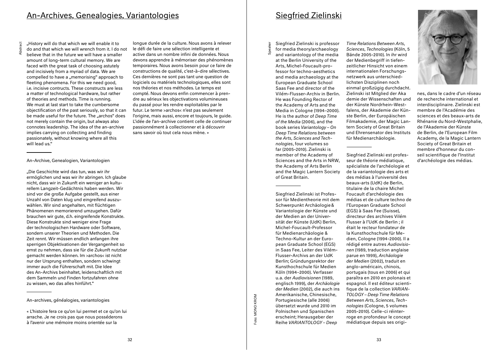Abstract

..History will do that which we will enable it to do and that which we will wrench from it. I do not believe that in the future we will have a smaller amount of long-term cultural memory. We are faced with the great task of choosing astutely and incisively from a myriad of data. We are compelled to have a "memorising" approach to fleeting phenomena. For this we need good, i.e. incisive contructs. These constructs are less a matter of technological hardware, but rather of theories and methods. Time is running. We must at last start to take the cumbersome objectification of the past seriously, so that it can be made useful for the future. The "archos" does not merely contain the origin, but always also connotes leadership. The idea of the an-archive implies carrying on collecting and finding passionately, without knowing where all this will lead us."

## An-Archive, Genealogien, Variantologien

"Die Geschichte wird das tun, was wir ihr ermöglichen und was wir ihr abringen. Ich glaube nicht, dass wir in Zukunft ein weniger an kulturellem Langzeit-Gedächtnis haben werden. Wir sind vor die große Aufgabe gestellt, aus einer Unzahl von Daten klug und eingreifend auszuwählen. Wir sind angehalten, mit flüchtigen Phänomenen memorierend umzugehen. Dafür brauchen wir gute, d.h. eingreifende Konstrukte. Diese Konstrukte sind weniger eine Frage der technologischen Hardware oder Software, sondern unserer Theorien und Methoden. Die Zeit rennt. Wir müssen endlich anfangen ihre sperrigen Objektivationen der Vergangenheit so ernst zu nehmen, dass sie für die Zukunft nutzbar gemacht werden können. Im >archos< ist nicht nur der Ursprung enthalten, sondern schwingt immer auch die Führerschaft mit. Die Idee des An-Archivs beinhaltet, leidenschaftlich mit dem Sammeln und Finden fortzufahren ohne zu wissen, wo das alles hinführt."

An-archives, généalogies, variantologies

longue durée de la culture. Nous avons à relever le défi de faire une sélection intelligente et active dans un nombre infini de données. Nous devons apprendre à mémoriser des phénomènes temporaires. Nous avons besoin pour ce faire de constructions de qualité, c'est-à-dire sélectives. Ces dernières ne sont pas tant une question de logiciels ou matériels technologiques, elles sont nos théories et nos méthodes. Le temps est compté. Nous devons enfin commencer à prendre au sérieux les objectivations volumineuses du passé pour les rendre exploitables par le futur. Le terme >archos< n'est pas seulement l'origine, mais aussi, encore et toujours, le guide. L'idée de l'an-archive contient celle de continuer passionnément à collectionner et à découvrir sans savoir où tout cela nous mène. »

> oto: MONO KROM Foto: MONO KROM

Speaker

Siegfried Zielinski is professor for media theory/archaeology and variantology of the media at the Berlin University of the Arts, Michel-Foucault-professor for techno-aesthetics and media archaeology at the European Graduate School Saas Fee and director of the Vilém-Flusser-Archiv in Berlin. He was Founding Rector of the Academy of Arts and the Media in Cologne (1994–2000). He is the author of *Deep Time of the Media* (2006), and the book series *Variantology – On Deep Time Relations between the Arts, Sciences and Technologies*, four volumes so far (2005-2010). Zielinski is member of the Academy of Sciences and the Arts in NRW, the Academy of Arts Berlin and the Magic Lantern Society of Great Britain.

Siegfried Zielinski ist Professor für Medientheorie mit dem Schwerpunkt Archäologie& Variantologie der Künste und der Medien an der Universität der Künste (UdK) Berlin, Michel-Foucault-Professor für Medienarchäologie & Techno-Kultur an der European Graduate School (EGS) in Saas Fee, Leiter des Vilém-Flusser-Archivs an der UdK Berlin; Gründungsrektor der Kunsthochschule für Medien Köln (1994–2000). Verfasser u.a. der *Audiovisionen* (1989, englisch 1999), der *Archäologie der Medien* (2002), die auch ins Amerikanische, Chinesische, Portugiesische (alle 2006) übersetzt wurde und 2010 im Polnischen und Spanischen erscheint; Herausgeber der Reihe *VARIANTOLOGY – Deep* 

*Time Relations Between Arts, Sciences, Technologies* (Köln, 5 Bände 2005-2010). In ihr wird der Medienbegriff in tiefenzeitlicher Hinsicht von einem internationalen Forschungsnetzwerk aus unterschiedlichsten Disziplinen noch einmal großzügig durchdacht. Zielinski ist Mitglied der Aka demie der Wissenschaften und der Künste Nordrhein-Westfalens, der Akademie der Künste Berlin, der Europäischen Filmakademie, der Magic Lantern Society of Great Britain und Ehrensenator des Instituts für Medienarchäologie.

Siegfried Zielinski est professeur de théorie médiatique, spécialiste de l'archéologie et de la variantologie des arts et des médias à l'université des beaux-arts (UdK) de Berlin, titulaire de la chaire Michel Foucault d'archéologie des médias et de culture techno de l'European Graduate School (EGS) à Saas Fee (Suisse), directeur des archives Vilém Flusser à l'UdK de Berlin ; il était le recteur fondateur de la Kunsthochschule für Medien, Cologne (1994-2000). Il a rédigé entre autres *Audiovisionen* (1989, traduction anglaise parue en 1999), *Archäologie der Medien* (2002), traduit en anglo-américain, chinois, portugais (tous en 2006) et qui paraîtra en 2010 en polonais et espagnol. Il est éditeur scientifique de la collection *VARIAN-TOLOGY – Deep Time Relations Between Arts, Sciences, Technologies* (Cologne, 5 volumes 2005-2010). Celle-ci réinterroge en profondeur le concept médiatique depuis ses origi-



nes, dans le cadre d'un réseau de recherche international et interdisciplinaire. Zielinski est membre de l'Académie des sciences et des beaux-arts de Rhénanie du Nord-Westphalie, de l'Akademie der Künste de Berlin, de l'European Film Academy, de la Magic Lantern Society of Great Britain et membre d'honneur du conseil scientifique de l'Institut d'archéologie des médias.

<sup>«</sup> L'histoire fera ce qu'on lui permet et ce qu'on lui arrache. Je ne crois pas que nous posséderons à l'avenir une mémoire moins orientée sur la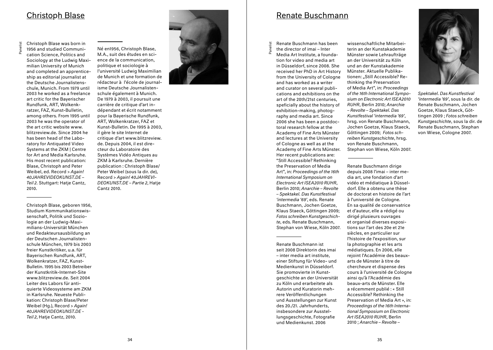# <u>Christoph Blase</u>

Panelist

Christoph Blase was born in 1956 and studied Communi cation Science, Politics and Sociology at the Ludwig Maxi milian University of Munich and completed an apprentice ship as editorial journalist at the Deutsche Journalistens chule, Munich. From 1979 until 2003 he worked as a freelance art critic for the Bayerischer Rundfunk, ART, Wolkenk ratzer, FAZ, Kunst-Bulletin, among others. From 1995 until 2003 he was the operator of the art critic website www. blitzreview.de. Since 2004 he has been head of the Labo ratory for Antiquated Video Systems at the ZKM | Centre for Art and Media Karlsruhe. His most recent publication: Blase, Christoph and Peter Weibel, ed. Record > *Again! 40JAHREVIDEOKUNST.DE – Teil 2*. Stuttgart: Hatje Cantz, 2010.

Christoph Blase, geboren 1956, Studium Kommunikationswis senschaft, Politik und Soziologie an der Ludwig-Maximilians-Universität München und Redakteursausbildung an der Deutschen Journalistenschule München, 1979 bis 2003 freier Kunstkritiker, u.a. für Bayerischen Rundfunk, ART, Wolkenkratzer, FAZ, Kunst-Bulletin. 1995 bis 2003 Betreiber der Kunstkritik-Internet-Site www.blitzreview.de. Seit 2004 Leiter des Labors für antiquierte Videosysteme am ZKM in Karlsruhe. Neueste Publikation: Christoph Blase/Peter Weibel (Hg.), Record > *Again! 40JAHREVIDEOKUNST.DE - Teil 2*, Hatje Cantz, 2010.



Systèmes Vidéo Antiques au ZKM à Karlsruhe. Dernière publication : Christoph Blase/ Peter Weibel (sous la dir. de), Record > *Again! 40JAHREVI - DEOKUNST.DE – Partie 2*, Hatje Cantz 2010.



# Renate Buschmann

Renate Buschmann has been the director of imai – Inter

 $\overline{\mathbf{5}}$ 

Media Art Institute, a founda tion for video and media art in Düsseldorf, since 2008. She received her PhD in Art History from the University of Cologne and has worked as a writer and curator on several publi cations and exhibitions on the art of the 20th/21st centuries, speficially about the history of exhibition-making, photog raphy and media art. Since 2006 she has been a postdoc toral research fellow at the Academy of Fine Arts Münster and lectures at the University of Cologne as well as at the Academy of Fine Arts Münster. Her recent publications are: "Still Accessible? Rethinking the Preservation of Media Art", in: *Proceedings of the 16th International Symposium on Electronic Art ISEA2010 RUHR*, Berlin 2010; *Anarchie – Revolte – Spektakel. Das Kunstfestival 'intermedia '69'*, eds. Renate Buschmann, Jochen Goetze, Klaus Staeck, Göttingen 2009; *Fotos schreiben Kunstgeschich te*, eds. Renate Buschmann, Stephan von Wiese, Köln 2007.

Renate Buschmann ist seit 2008 Direktorin des imai – inter media art institute, einer Stiftung für Video- und Medienkunst in Düsseldorf. Sie promovierte in Kunstgeschichte an der Universität zu Köln und erarbeitete als Autorin und Kuratorin mehrere Veröffentlichungen und Ausstellungen zur Kunst des 20./21. Jahrhunderts, insbesondere zur Ausstellungsgeschichte, Fotografie und Medienkunst. 2006

wissenschaftliche Mitarbei terin an der Kunstakademie Münster sowie Lehraufträge an der Universität zu Köln und an der Kunstakademie Münster. Aktuelle Publika tionen: "Still Accessible? Rethinking the Preservation of Media Art", in: *Proceedings of the 16th International Sympo sium on Electronic Art ISEA2010 RUHR*, Berlin 2010; *Anarchie – Revolte – Spektakel. Das Kunstfestival 'intermedia '69'*, hrsg. von Renate Buschmann, Jochen Goetze, Klaus Staeck, Göttingen 2009; *Fotos sch reiben Kunstgeschichte*, hrsg. von Renate Buschmann, Stephan von Wiese, Köln 2007.

Renate Buschmann dirige depuis 2008 l'imai – inter media art, une fondation d'art vidéo et médiatique à Düsseldorf. Elle a obtenu une thèse de doctorat en histoire de l'art à l'université de Cologne. En sa qualité de conservatrice et d'auteur, elle a rédigé ou dirigé plusieurs ouvrages et organisé diverses exposi tions sur l'art des 20e et 21e siècles, en particulier sur l'histoire de l'exposition, sur la photographie et les arts médiatiques. En 2006, elle rejoint l'Académie des beauxarts de Münster à titre de chercheure et dispense des cours à l'université de Cologne ainsi qu'à l'Académie des beaux-arts de Münster. Elle a récemment publié : « Still Accessible? Rethinking the Preservation of Media Art », in: *Proceedings of the 16th International Symposium on Electronic Art ISEA2010 RUHR*, Berlin 2010 ; *Anarchie – Revolte –* 



*Spektakel. Das Kunstfestival 'intermedia '69'*, sous la dir. de Renate Buschmann, Jochen Goetze, Klaus Staeck, Göt tingen 2009 ; *Fotos schreiben Kunstgeschichte*, sous la dir. de Renate Buschmann, Stephan von Wiese, Cologne 2007.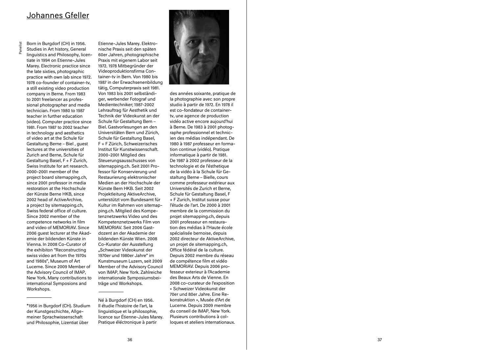# Johannes Gfeller

Panelist

Born in Burgdorf (CH) in 1956. Studies in Art history, General linguistics and Philosophy, licen tiate in 1994 on Etienne-Jules Marey. Electronic practice since the late sixties, photographic practice with own lab since 1972. 1978 co-founder of container-tv, a still existing video production company in Berne. From 1983 to 2001 freelancer as profes sional photographer and media technician. From 1980 to 1987 teacher in further education (video). Computer practice since 1981. From 1987 to 2002 teacher in technology and aesthetics of video art at the Schule für Gestaltung Berne – Biel , guest lectures at the universities of Zurich and Berne, Schule für Gestaltung Basel, F + F Zurich, Swiss Institute for art research. 2000-2001 member of the project board sitemapping.ch, since 2001 professor in media restoration at the Hochschule der Künste Berne HKB, since 2002 head of ActiveArchive, a project by sitemapping.ch, Swiss federal office of culture. Since 2002 member of the competence networks in film and video of MEMORIAV. Since 2006 guest lecturer at the Akad emie der bildenden Künste in Vienna. In 2008 Co-Curator of the exhibiton "Reconstructing swiss video art from the 1970s and 1980s", Museum of Art Lucerne. Since 2009 Member of the Advisory Council of IMAP, New York. Many contributions to international Symposions and Workshops.

\*1956 in Burgdorf (CH). Studium der Kunstgeschichte, Allge meiner Sprachwissenschaft und Philosophie, Lizentiat über

Etienne-Jules Marey. Elektro nische Praxis seit den späten 60er Jahren, photographische Praxis mit eigenem Labor seit 1972. 1978 Mitbegründer der Videoproduktionsfirma Con tainer-tv in Bern. Von 1980 bis 1987 in der Erwachsenenbildung tätig, Computerpraxis seit 1981. Von 1983 bis 2001 selbständi ger, werbender Fotograf und Medientechniker; 1987-2002 Lehrauftrag für Aesthetik und Technik der Videokunst an der Schule für Gestaltung Bern – Biel. Gastvorlesungen an den Universitäten Bern und Zürich, Schule für Gestaltung Basel, F + F Zürich, Schweizerisches Institut für Kunstwissenschaft. 2000-2001 Mitglied des Steuerungsausschusses von sitemapping.ch. Seit 2001 Pro fessor für Konservierung und Restaurierung elektronischer Medien an der Hochschule der Künste Bern HKB. Seit 2002 Projektleitung AktiveArchive, unterstützt vom Bundesamt für Kultur im Rahmen von sitemap ping.ch. Mitglied des Kompe tenznetzwerks Video und des Kompetenznetzwerks Film von MEMORIAV. Seit 2006 Gast dozent an der Akademie der bildenden Künste Wien. 2008 Co-Kurator der Ausstellung "Schweizer Videokunst der 1970er und 1980er Jahre" im Kunstmuseum Luzern, seit 2009 Member of the Advisory Council von IMAP, New York. Zahlreiche internationale Symposiumsbei träge und Workshops.

Né à Burgdorf (CH) en 1956. Il étudie l'histoire de l'art, la linguistique et la philosophie, licence sur Étienne-Jules Marey. Pratique éléctronique à partir



des années soixante, pratique de la photographie avec son propre studio à partir de 1972. En 1978 il est co-fondateur de containertv, une agence de production vidéo active encore aujourd'hui à Berne. De 1983 à 2001 photog raphe professionnel et technic ien des médias indépendant. De 1980 à 1987 professeur en forma tion continue (vidéo). Pratique informatique à partir de 1981. De 1987 à 2002 professeur de la technologie et de l'ésthetique de la vidéo à la Schule für Ge staltung Berne – Bielle, cours comme professeur extérieur aux Universités de Zurich et Berne, Schule für Gestaltung Basel, F + F Zurich, Institut suisse pour l'étude de l'art. De 2000 à 2001 membre de la commission du projet sitemapping.ch, depuis 2001 professeur en restaura tion des médias à l'Haute école spécialisée bernoise, depuis 2002 directeur de AktiveArchive, un projet de sitemapping.ch, Office fédéral de la culture. Depuis 2002 membre du réseau de compétence film et vidéo MEMORIAV. Depuis 2006 pro fesseur exterieur à l'Academie des Beaux Arts de Vienne. En 2008 co-curateur de l'exposition « Schweizer Videokunst der 70er und 80er Jahre. Eine Re konstruktion », Musée d'Art de Lucerne. Depuis 2009 membre du conseil de IMAP, New York. Plusieurs contributions à col loques et ateliers internationaux.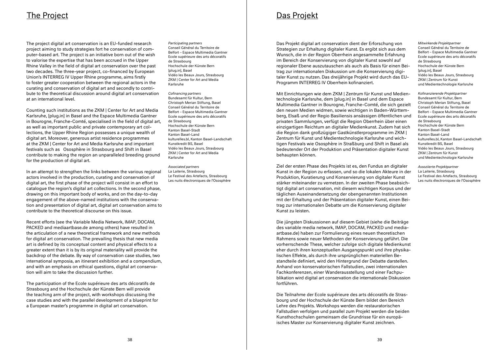# The Project

The project digital art conservation is an EU-funded research project aiming to study strategies fort he conservation of computer-based art. The project is an initiative born out of the wish to valorise the expertise that has been accrued in the Upper Rhine Valley in the field of digital art conservation over the past two decades. The three-year project, co-financed by European Union's INTERREG IV Upper Rhine programme, aims firstly to foster greater cooperation between the regional actors in the curating and conservation of digital art and secondly to contribute to the theoretical discussion around digital art conservation at an international level.

Counting such institutions as the ZKM | Center for Art and Media Karlsruhe, [plug.in] in Basel and the Espace Multimedia Gantner in Bourogne, Franche-Comté, specialised in the field of digital art, as well as important public and private contemporary art collections, the Upper Rhine Region possesses a unique wealth of digital art. Moreover, generous artist residence programmes at the ZKM | Center for Art and Media Karlsruhe and important festivals such as Ososphère in Strasbourg and Shift in Basel contribute to making the region an unparalleled breeding ground for the production of digital art.

In an attempt to strengthen the links between the various regional actors involved in the production, curating and conservation of digital art, the first phase of the project will consist in an effort to catalogue the region's digital art collections. In the second phase, drawing on this important body of works, and on the day-to-day engagement of the above-named institutions with the conservation and presentation of digital art, digital art conservation aims to contribute to the theoretical discourse on this issue.

Recent efforts (see the Variable Media Network, IMAP, DOCAM, PACKED and mediaartbase.de among others) have resulted in the articulation of a new theoretical framework and new methods for digital art conservation. The prevailing thesis that new media art is defined by its conceptual content and physical effects to a greater extent than it is by its original materiality will provide the backdrop of the debate. By way of conservation case studies, two international symposia, an itinerant exhibition and a compendium, and with an emphasis on ethical questions, digital art conservation will aim to take the discussion further.

The participation of the Ecole supérieure des arts décoratifs de Strasbourg and the Hochschule der Künste Bern will provide the teaching arm of the project, with workshops discussing the case studies and with the parallel development of a blueprint for a European master's programme in digital art conservation.

## *Participating partners*

Conseil Général du Territoire de Belfort – Espace Multimedia Gantner Ecole supérieure des arts décoratifs de Strasbourg Hochschule der Künste Bern [plug.in], Basel Vidéo les Beaux Jours, Strasbourg ZKM | Center for Art and Media Karlsruhe

*Cofinancing partners*  Bundesamt für Kultur, Bern Christoph Merian Stiftung, Basel Conseil Général du Territoire de Belfort – Espace Multimedia Gantner Ecole supérieure des arts décoratifs de Strasbourg Hochschule der Künste Bern Kanton Basel-Stadt Kanton Basel-Land kulturelles bl, Kanton Basel-Landschaft Kunstkredit BS, Basel Vidéo les Beaux Jours, Strasbourg ZKM | Center for Art and Media Karlsruhe

*Associated partners*  La Laiterie, Strasbourg Le Festival des Artefacts, Strasbourg Les nuits électroniques de l'Ososphère Das Projekt

Das Projekt digital art conservation dient der Erforschung von Strategien zur Erhaltung digitaler Kunst. Es ergibt sich aus dem Wunsch, die in der Region Oberrhein angesammelte Erfahrung im Bereich der Konservierung von digitaler Kunst sowohl auf regionaler Ebene auszutauschen als auch als Basis für einen Beitrag zur internationalen Diskussion um die Konservierung digitaler Kunst zu nutzen. Das dreijährige Projekt wird durch das EU-Programm INTERREG IV Oberrhein kofinanziert.

*Mitwirkende Projektpartner* Conseil Général du Territoire de Belfort – Espace Multimedia Gantner Ecole supérieure des arts décoratifs de Strasbourg Hochschule der Künste Bern [plug.in], Basel Vidéo les Beaux Jours, Strasbourg ZKM | Zentrum für Kunst und Medientechnologie Karlsruhe

*Kofinanzierende Projektpartner*  Bundesamt für Kultur, Bern Christoph Merian Stiftung, Basel Conseil Général du Territoire de Belfort – Espace Multimedia Gantner

Mit Einrichtungen wie dem ZKM | Zentrum für Kunst und Medientechnologie Karlsruhe, dem [plug.in] in Basel und dem Espace Multimedia Gantner in Bourogne, Franche-Comté, die sich gezielt den neuen Medien widmen, sowie wichtigen in Baden-Württemberg, Elsaß und der Regio Basiliensis ansässigen öffentlichen und privaten Sammlungen, verfügt die Region Oberrhein über einen einzigartigen Reichtum an digitaler Medienkunst. Zudem hat sich die Region dank großzügiger Gastkünstlerprogramme im ZKM | Zentrum für Kunst und Medientechnologie Karlsruhe und wichtigen Festivals wie Ososphère in Straßburg und Shift in Basel als bedeutender Ort der Produktion und Präsentation digitaler Kunst behaupten können.

Ziel der ersten Phase des Projekts ist es, den Fundus an digitaler Kunst in der Region zu erfassen, und so die lokalen Akteure in der Produktion, Kuratierung und Konservierung von digitaler Kunst stärker miteinander zu vernetzen. In der zweiten Phase beabsichtigt digital art conservation, mit diesem wichtigen Korpus und der täglichen Auseinandersetzung der obengenannten Institutionen mit der Erhaltung und der Präsentation digitaler Kunst, einen Beitrag zur internationalen Debatte um die Konservierung digitaler Kunst zu leisten.

Die jüngsten Diskussionen auf diesem Gebiet (siehe die Beiträge des variable media network, IMAP, DOCAM, PACKED und mediaartbase.de) haben zur Formulierung eines neuen theoretischen Rahmens sowie neuer Methoden der Konservierung geführt. Die vorherrschende These, welcher zufolge sich digitale Medienkunst eher durch ihren konzeptuellen Ausgangspunkt und ihre physikalischen Effekte, als durch ihre ursprünglichen materiellen Bestandteile definiert, wird den Hintergrund der Debatte darstellen. Anhand von konservatorischen Fallstudien, zwei internationalen Fachkonferenzen, einer Wanderausstellung und einer Fachpublikation wird digital art conservation die internationale Diskussion fortführen.

Die Teilnahme der Ecole supérieure des arts décoratifs de Strasbourg und der Hochschule der Künste Bern bildet den Bereich Lehre des Projekts. Workshops werden die restauratorischen Fallstudien verfolgen und parallel zum Projekt werden die beiden Kunsthochschulen gemeinsam die Grundrisse für ein europäisches Master zur Konservierung digitaler Kunst zeichnen.

*Assoziierte Projektpartner* La Laiterie, Strasbourg Le Festival des Artefacts, Strasbourg Les nuits électroniques de l'Ososphère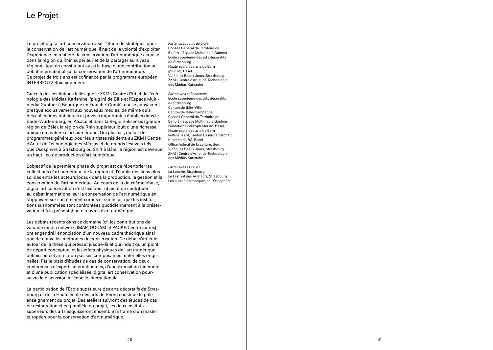# <u>Le Projet</u>

Le projet digital art conservation vise l''étude de stratégies pour la conservation de l'art numérique. Il nait de la volonté d'exploiter l'expérience en matière de conservation d'art numérique acquise dans la région du Rhin supérieur et de la partager au niveau régional, tout en constituant aussi la base d'une contribution au débat international sur la conservation de l'art numérique. Ce projet de trois ans est cofinancé par le programme européen INTERREG IV Rhin supérieur.

Grâce à des institutions telles que le ZKM | Centre d'Art et de Technologie des Médias Karlsruhe, [plug.in] de Bâle et l'Espace Multimédia Gantner à Bourogne en Franche-Comté, qui se consacrent presque exclusivement aux nouveaux médias, de même qu'à des collections publiques et privées importantes établies dans le Bade-Wurtemberg, en Alsace et dans la Regio Balisensis (grande région de Bâle), la région du Rhin supérieur jouit d'une richesse unique en matière d'art numérique. Qui plus est, du fait de programmes généreux pour les artistes résidents au ZKM | Centre d'Art et de Technologie des Médias et de grands festivals tels que Ososphère à Strasbourg ou Shift à Bâle, la région est devenue un haut lieu de production d'art numérique.

L'objectif de la première phase du projet est de répertorier les collections d'art numérique de la région et d'établir des liens plus solides entre les acteurs locaux dans la production, la gestion et la conservation de l'art numérique. Au cours de la deuxième phase, digital art conservation s'est fixé pour objectif de contribuer au débat international sur la conservation de l'art numérique en s'appuyant sur son éminent corpus et sur le fait que les institu tions susnommées sont confrontées quotidiennement à la préser vation et à la présentation d'œuvres d'art numérique.

Les débats récents dans ce domaine (cf. les contributions de variable media network, IMAP, DOCAM et PACKED entre autres) ont engendré l'énonciation d'un nouveau cadre théorique ainsi que de nouvelles méthodes de conservation. Ce débat s'articule autour de la thèse qui prévaut jusque-là et qui induit qu'un point de départ conceptuel et les effets physiques de l'art numérique définissait cet art et non pas ses composantes matérielles origi nelles. Par le biais d'études de cas de conservation, de deux conférences d'experts internationales, d'une exposition itinérante et d'une publication spécialisée, digital art conservation pour suivra la discussion à l'échelle internationale.

La participation de l'École supérieure des arts décoratifs de Stras bourg et de la Haute école des arts de Berne constitue le pôle enseignement du projet. Des ateliers suivront des études de cas de restauration et en parallèle du projet, les deux instituts supérieurs des arts esquisseront ensemble la trame d'un master européen pour la conservation d'art numérique.

*Partenaires actifs du projet* Conseil Général du Territoire de Belfort – Espace Multimedia Gantner Ecole supérieure des arts décoratifs de Strasbourg Haute école des arts de Bern [plug.in], Basel Vidéo les Beaux Jours, Strasbourg ZKM | Centre d'Art et de Technologie des Médias Karlsruhe

*Partenaires cofinanceurs* Ecole supérieure des arts décoratifs de Strasbourg Canton de Bâle-Ville Canton de Bâle-Campagne Conseil Général du Territoire de Belfort – Espace Multimedia Gantner Fondation Christoph Merian, Basel Haute école des arts de Bern kulturelles.bl, Kanton Basel-Landschaft Kunstkredit BS, Basel Office fédéral de la culture, Bern Vidéo les Beaux Jours, Strasbourg ZKM | Centre d'Art et de Technologie des Médias Karlsruhe

*Partenaires associés* La Laiterie, Strasbourg Le Festival des Artefacts, Strasbourg Les nuits électroniques de l'Ososphère